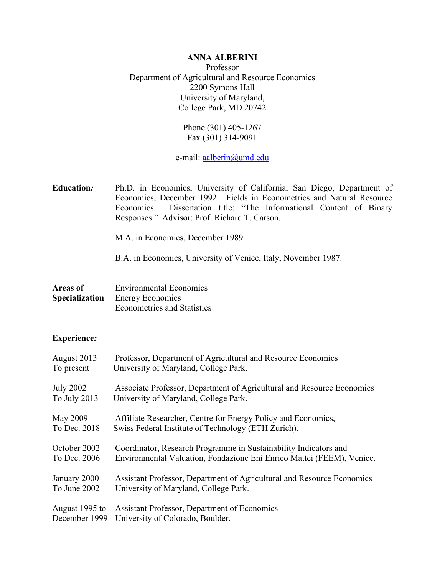# **ANNA ALBERINI**

Professor Department of Agricultural and Resource Economics 2200 Symons Hall University of Maryland, College Park, MD 20742

> Phone (301) 405-1267 Fax (301) 314-9091

e-mail: [aalberin@umd.edu](mailto:aalberini@arec.umd.edu)

**Education***:* Ph.D. in Economics, University of California, San Diego, Department of Economics, December 1992. Fields in Econometrics and Natural Resource Economics. Dissertation title: "The Informational Content of Binary Responses." Advisor: Prof. Richard T. Carson.

M.A. in Economics, December 1989.

B.A. in Economics, University of Venice, Italy, November 1987.

**Areas of** Environmental Economics **Specialization** Energy Economics Econometrics and Statistics

#### **Experience***:*

| August 2013      | Professor, Department of Agricultural and Resource Economics           |
|------------------|------------------------------------------------------------------------|
| To present       | University of Maryland, College Park.                                  |
| <b>July 2002</b> | Associate Professor, Department of Agricultural and Resource Economics |
| To July 2013     | University of Maryland, College Park.                                  |
| <b>May 2009</b>  | Affiliate Researcher, Centre for Energy Policy and Economics,          |
| To Dec. 2018     | Swiss Federal Institute of Technology (ETH Zurich).                    |
| October 2002     | Coordinator, Research Programme in Sustainability Indicators and       |
| To Dec. 2006     | Environmental Valuation, Fondazione Eni Enrico Mattei (FEEM), Venice.  |
| January 2000     | Assistant Professor, Department of Agricultural and Resource Economics |
| To June 2002     | University of Maryland, College Park.                                  |
| August 1995 to   | Assistant Professor, Department of Economics                           |
| December 1999    | University of Colorado, Boulder.                                       |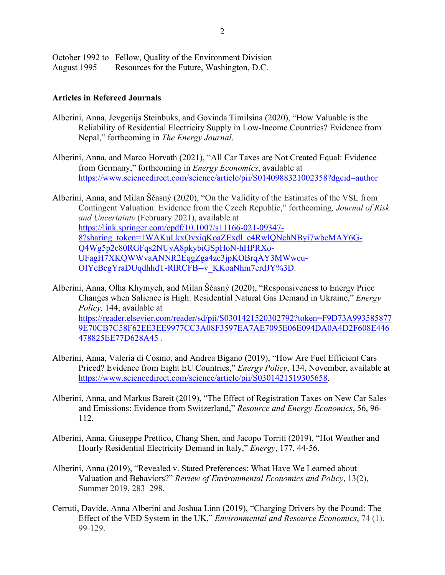|             | October 1992 to Fellow, Quality of the Environment Division |
|-------------|-------------------------------------------------------------|
| August 1995 | Resources for the Future, Washington, D.C.                  |

#### **Articles in Refereed Journals**

- Alberini, Anna, Jevgenijs Steinbuks, and Govinda Timilsina (2020), "How Valuable is the Reliability of Residential Electricity Supply in Low-Income Countries? Evidence from Nepal," forthcoming in *The Energy Journal*.
- Alberini, Anna, and Marco Horvath (2021), "All Car Taxes are Not Created Equal: Evidence from Germany," forthcoming in *Energy Economics*, available at <https://www.sciencedirect.com/science/article/pii/S0140988321002358?dgcid=author>

Alberini, Anna, and Milan Ščasný (2020), "On the Validity of the Estimates of the VSL from Contingent Valuation: Evidence from the Czech Republic," forthcoming*, Journal of Risk and Uncertainty* (February 2021), available at [https://link.springer.com/epdf/10.1007/s11166-021-09347-](https://link.springer.com/epdf/10.1007/s11166-021-09347-8?sharing_token=1WAKuLkxOvxiqKoaZExdl_e4RwlQNchNByi7wbcMAY6G-Q4Wg5p2c80RGFqs2NUyA8pkybiGSpHoN-hHPRXo-UFagH7XKQWWvaANNR2EqgZga4zc3jpKOBrqAY3MWwcu-OIYeBcgYraDUqdhhdT-RlRCFB--v_KKoaNhm7erdJY%3D) [8?sharing\\_token=1WAKuLkxOvxiqKoaZExdl\\_e4RwlQNchNByi7wbcMAY6G-](https://link.springer.com/epdf/10.1007/s11166-021-09347-8?sharing_token=1WAKuLkxOvxiqKoaZExdl_e4RwlQNchNByi7wbcMAY6G-Q4Wg5p2c80RGFqs2NUyA8pkybiGSpHoN-hHPRXo-UFagH7XKQWWvaANNR2EqgZga4zc3jpKOBrqAY3MWwcu-OIYeBcgYraDUqdhhdT-RlRCFB--v_KKoaNhm7erdJY%3D)[Q4Wg5p2c80RGFqs2NUyA8pkybiGSpHoN-hHPRXo-](https://link.springer.com/epdf/10.1007/s11166-021-09347-8?sharing_token=1WAKuLkxOvxiqKoaZExdl_e4RwlQNchNByi7wbcMAY6G-Q4Wg5p2c80RGFqs2NUyA8pkybiGSpHoN-hHPRXo-UFagH7XKQWWvaANNR2EqgZga4zc3jpKOBrqAY3MWwcu-OIYeBcgYraDUqdhhdT-RlRCFB--v_KKoaNhm7erdJY%3D)[UFagH7XKQWWvaANNR2EqgZga4zc3jpKOBrqAY3MWwcu-](https://link.springer.com/epdf/10.1007/s11166-021-09347-8?sharing_token=1WAKuLkxOvxiqKoaZExdl_e4RwlQNchNByi7wbcMAY6G-Q4Wg5p2c80RGFqs2NUyA8pkybiGSpHoN-hHPRXo-UFagH7XKQWWvaANNR2EqgZga4zc3jpKOBrqAY3MWwcu-OIYeBcgYraDUqdhhdT-RlRCFB--v_KKoaNhm7erdJY%3D)[OIYeBcgYraDUqdhhdT-RlRCFB--v\\_KKoaNhm7erdJY%3D.](https://link.springer.com/epdf/10.1007/s11166-021-09347-8?sharing_token=1WAKuLkxOvxiqKoaZExdl_e4RwlQNchNByi7wbcMAY6G-Q4Wg5p2c80RGFqs2NUyA8pkybiGSpHoN-hHPRXo-UFagH7XKQWWvaANNR2EqgZga4zc3jpKOBrqAY3MWwcu-OIYeBcgYraDUqdhhdT-RlRCFB--v_KKoaNhm7erdJY%3D)

Alberini, Anna, Olha Khymych, and Milan Ščasný (2020), "Responsiveness to Energy Price Changes when Salience is High: Residential Natural Gas Demand in Ukraine," *Energy Policy,* 144, available at [https://reader.elsevier.com/reader/sd/pii/S0301421520302792?token=F9D73A993585877](https://reader.elsevier.com/reader/sd/pii/S0301421520302792?token=F9D73A9935858779E70CB7C58F62EE3EE9977CC3A08F3597EA7AE7095E06E094DA0A4D2F608E446478825EE77D628A45) [9E70CB7C58F62EE3EE9977CC3A08F3597EA7AE7095E06E094DA0A4D2F608E446](https://reader.elsevier.com/reader/sd/pii/S0301421520302792?token=F9D73A9935858779E70CB7C58F62EE3EE9977CC3A08F3597EA7AE7095E06E094DA0A4D2F608E446478825EE77D628A45) [478825EE77D628A45](https://reader.elsevier.com/reader/sd/pii/S0301421520302792?token=F9D73A9935858779E70CB7C58F62EE3EE9977CC3A08F3597EA7AE7095E06E094DA0A4D2F608E446478825EE77D628A45) *.*

- Alberini, Anna, Valeria di Cosmo, and Andrea Bigano (2019), "How Are Fuel Efficient Cars Priced? Evidence from Eight EU Countries," *Energy Policy*, 134, November, available at [https://www.sciencedirect.com/science/article/pii/S0301421519305658.](https://www.sciencedirect.com/science/article/pii/S0301421519305658)
- Alberini, Anna, and Markus Bareit (2019), "The Effect of Registration Taxes on New Car Sales and Emissions: Evidence from Switzerland," *Resource and Energy Economics*, 56, 96- 112.
- Alberini, Anna, Giuseppe Prettico, Chang Shen, and Jacopo Torriti (2019), "Hot Weather and Hourly Residential Electricity Demand in Italy," *Energy*, 177, 44-56.
- Alberini, Anna (2019), "Revealed v. Stated Preferences: What Have We Learned about Valuation and Behaviors?" *Review of Environmental Economics and Policy*, 13(2), Summer 2019, 283–298.
- Cerruti, Davide, Anna Alberini and Joshua Linn (2019), "Charging Drivers by the Pound: The Effect of the VED System in the UK," *Environmental and Resource Economics*, 74 (1), 99-129.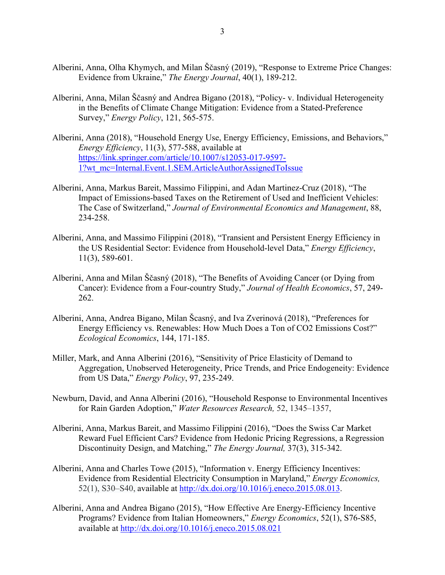- Alberini, Anna, Olha Khymych, and Milan Ščasný (2019), "Response to Extreme Price Changes: Evidence from Ukraine," *The Energy Journal*, 40(1), 189-212.
- Alberini, Anna, Milan Ščasný and Andrea Bigano (2018), "Policy- v. Individual Heterogeneity in the Benefits of Climate Change Mitigation: Evidence from a Stated-Preference Survey," *Energy Policy*, 121, 565-575.
- Alberini, Anna (2018), "Household Energy Use, Energy Efficiency, Emissions, and Behaviors," *Energy Efficiency*, 11(3), 577-588, available at [https://link.springer.com/article/10.1007/s12053-017-9597-](https://link.springer.com/article/10.1007/s12053-017-9597-1?wt_mc=Internal.Event.1.SEM.ArticleAuthorAssignedToIssue) [1?wt\\_mc=Internal.Event.1.SEM.ArticleAuthorAssignedToIssue](https://link.springer.com/article/10.1007/s12053-017-9597-1?wt_mc=Internal.Event.1.SEM.ArticleAuthorAssignedToIssue)
- Alberini, Anna, Markus Bareit, Massimo Filippini, and Adan Martinez-Cruz (2018), "The Impact of Emissions-based Taxes on the Retirement of Used and Inefficient Vehicles: The Case of Switzerland," *Journal of Environmental Economics and Management*, 88, 234-258.
- Alberini, Anna, and Massimo Filippini (2018), "Transient and Persistent Energy Efficiency in the US Residential Sector: Evidence from Household-level Data," *Energy Efficiency*, 11(3), 589-601.
- Alberini, Anna and Milan Ščasný (2018), "The Benefits of Avoiding Cancer (or Dying from Cancer): Evidence from a Four-country Study," *Journal of Health Economics*, 57, 249- 262.
- Alberini, Anna, Andrea Bigano, Milan Šcasný, and Iva Zverinová (2018), "Preferences for Energy Efficiency vs. Renewables: How Much Does a Ton of CO2 Emissions Cost?" *Ecological Economics*, 144, 171-185.
- Miller, Mark, and Anna Alberini (2016), "Sensitivity of Price Elasticity of Demand to Aggregation, Unobserved Heterogeneity, Price Trends, and Price Endogeneity: Evidence from US Data," *Energy Policy*, 97, 235-249.
- Newburn, David, and Anna Alberini (2016), "Household Response to Environmental Incentives for Rain Garden Adoption," *Water Resources Research,* 52, 1345–1357,
- Alberini, Anna, Markus Bareit, and Massimo Filippini (2016), "Does the Swiss Car Market Reward Fuel Efficient Cars? Evidence from Hedonic Pricing Regressions, a Regression Discontinuity Design, and Matching," *The Energy Journal,* 37(3), 315-342.
- Alberini, Anna and Charles Towe (2015), "Information v. Energy Efficiency Incentives: Evidence from Residential Electricity Consumption in Maryland," *Energy Economics,*  52(1), S30–S40, available at [http://dx.doi.org/10.1016/j.eneco.2015.08.013.](http://dx.doi.org/10.1016/j.eneco.2015.08.013)
- Alberini, Anna and Andrea Bigano (2015), "How Effective Are Energy-Efficiency Incentive Programs? Evidence from Italian Homeowners," *Energy Economics*, 52(1), S76-S85, available at<http://dx.doi.org/10.1016/j.eneco.2015.08.021>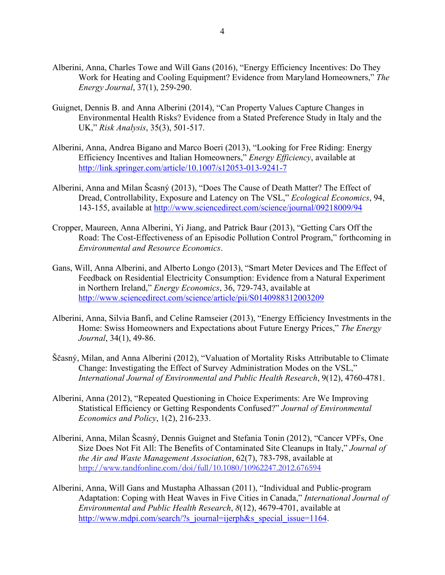- Alberini, Anna, Charles Towe and Will Gans (2016), "Energy Efficiency Incentives: Do They Work for Heating and Cooling Equipment? Evidence from Maryland Homeowners," *The Energy Journal*, 37(1), 259-290.
- Guignet, Dennis B. and Anna Alberini (2014), "Can Property Values Capture Changes in Environmental Health Risks? Evidence from a Stated Preference Study in Italy and the UK," *Risk Analysis*, 35(3), 501-517.
- Alberini, Anna, Andrea Bigano and Marco Boeri (2013), "Looking for Free Riding: Energy Efficiency Incentives and Italian Homeowners," *Energy Efficiency*, available at <http://link.springer.com/article/10.1007/s12053-013-9241-7>
- Alberini, Anna and Milan Šcasný (2013), "Does The Cause of Death Matter? The Effect of Dread, Controllability, Exposure and Latency on The VSL," *Ecological Economics*, 94, 143-155, available at<http://www.sciencedirect.com/science/journal/09218009/94>
- Cropper, Maureen, Anna Alberini, Yi Jiang, and Patrick Baur (2013), "Getting Cars Off the Road: The Cost-Effectiveness of an Episodic Pollution Control Program," forthcoming in *Environmental and Resource Economics*.
- Gans, Will, Anna Alberini, and Alberto Longo (2013), "Smart Meter Devices and The Effect of Feedback on Residential Electricity Consumption: Evidence from a Natural Experiment in Northern Ireland," *Energy Economics*, 36, 729-743, available at <http://www.sciencedirect.com/science/article/pii/S0140988312003209>
- Alberini, Anna, Silvia Banfi, and Celine Ramseier (2013), "Energy Efficiency Investments in the Home: Swiss Homeowners and Expectations about Future Energy Prices," *The Energy Journal*, 34(1), 49-86.
- Ščasný, Milan, and Anna Alberini (2012), "Valuation of Mortality Risks Attributable to Climate Change: Investigating the Effect of Survey Administration Modes on the VSL," *International Journal of Environmental and Public Health Research*, 9(12), 4760-4781.
- Alberini, Anna (2012), "Repeated Questioning in Choice Experiments: Are We Improving Statistical Efficiency or Getting Respondents Confused?" *Journal of Environmental Economics and Policy*, 1(2), 216-233.
- Alberini, Anna, Milan Šcasný, Dennis Guignet and Stefania Tonin (2012), "Cancer VPFs, One Size Does Not Fit All: The Benefits of Contaminated Site Cleanups in Italy," *Journal of the Air and Waste Management Association*, 62(7), 783-798, available at <http://www.tandfonline.com/doi/full/10.1080/10962247.2012.676594>
- Alberini, Anna, Will Gans and Mustapha Alhassan (2011), "Individual and Public-program Adaptation: Coping with Heat Waves in Five Cities in Canada," *International Journal of Environmental and Public Health Research*, *8*(12), 4679-4701, available at [http://www.mdpi.com/search/?s\\_journal=ijerph&s\\_special\\_issue=1164.](http://www.mdpi.com/search/?s_journal=ijerph&s_special_issue=1164)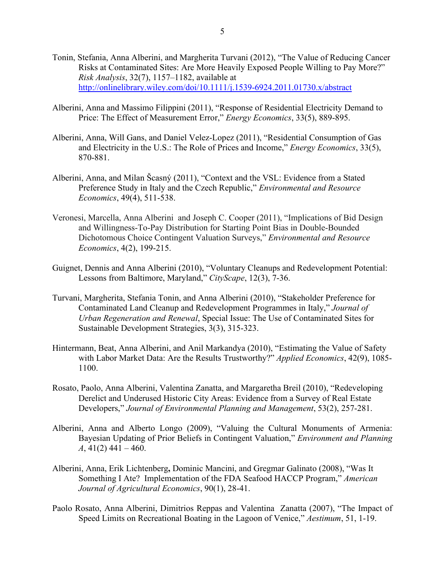- Tonin, Stefania, Anna Alberini, and Margherita Turvani (2012), "The Value of Reducing Cancer Risks at Contaminated Sites: Are More Heavily Exposed People Willing to Pay More?" *Risk Analysis*, 32(7), 1157–1182, available at <http://onlinelibrary.wiley.com/doi/10.1111/j.1539-6924.2011.01730.x/abstract>
- Alberini, Anna and Massimo Filippini (2011), "Response of Residential Electricity Demand to Price: The Effect of Measurement Error," *Energy Economics*, 33(5), 889-895.
- Alberini, Anna, Will Gans, and Daniel Velez-Lopez (2011), "Residential Consumption of Gas and Electricity in the U.S.: The Role of Prices and Income," *Energy Economics*, 33(5), 870-881.
- Alberini, Anna, and Milan Šcasný (2011), "Context and the VSL: Evidence from a Stated Preference Study in Italy and the Czech Republic," *Environmental and Resource Economics*, 49(4), 511-538.
- Veronesi, Marcella, Anna Alberini and Joseph C. Cooper (2011), "Implications of Bid Design and Willingness-To-Pay Distribution for Starting Point Bias in Double-Bounded Dichotomous Choice Contingent Valuation Surveys," *Environmental and Resource Economics*, 4(2), 199-215.
- Guignet, Dennis and Anna Alberini (2010), "Voluntary Cleanups and Redevelopment Potential: Lessons from Baltimore, Maryland," *CityScape*, 12(3), 7-36.
- Turvani, Margherita, Stefania Tonin, and Anna Alberini (2010), "Stakeholder Preference for Contaminated Land Cleanup and Redevelopment Programmes in Italy," *Journal of Urban Regeneration and Renewal*, Special Issue: The Use of Contaminated Sites for Sustainable Development Strategies, 3(3), 315-323.
- Hintermann, Beat, Anna Alberini, and Anil Markandya (2010), "Estimating the Value of Safety with Labor Market Data: Are the Results Trustworthy?" *Applied Economics*, 42(9), 1085- 1100.
- Rosato, Paolo, Anna Alberini, Valentina Zanatta, and Margaretha Breil (2010), "Redeveloping Derelict and Underused Historic City Areas: Evidence from a Survey of Real Estate Developers," *Journal of Environmental Planning and Management*, 53(2), 257-281.
- Alberini, Anna and Alberto Longo (2009), "Valuing the Cultural Monuments of Armenia: Bayesian Updating of Prior Beliefs in Contingent Valuation," *Environment and Planning A*, 41(2) 441 – 460.
- Alberini, Anna, Erik Lichtenberg**,** Dominic Mancini, and Gregmar Galinato (2008), "Was It Something I Ate? Implementation of the FDA Seafood HACCP Program," *American Journal of Agricultural Economics*, 90(1), 28-41.
- Paolo Rosato, Anna Alberini, Dimitrios Reppas and Valentina Zanatta (2007), "The Impact of Speed Limits on Recreational Boating in the Lagoon of Venice," *Aestimum*, 51, 1-19.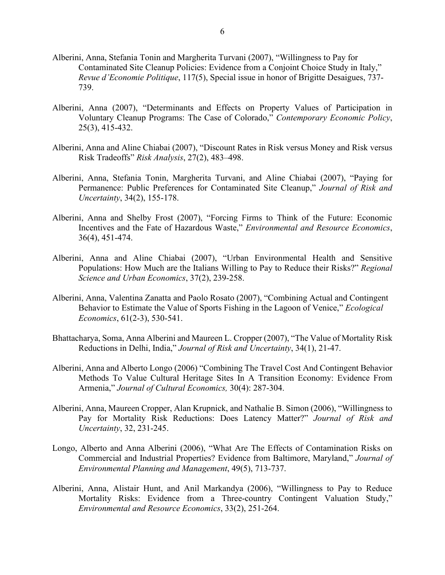- Alberini, Anna, Stefania Tonin and Margherita Turvani (2007), "Willingness to Pay for Contaminated Site Cleanup Policies: Evidence from a Conjoint Choice Study in Italy," *Revue d'Economie Politique*, 117(5), Special issue in honor of Brigitte Desaigues, 737- 739.
- Alberini, Anna (2007), "Determinants and Effects on Property Values of Participation in Voluntary Cleanup Programs: The Case of Colorado," *Contemporary Economic Policy*, 25(3), 415-432.
- Alberini, Anna and Aline Chiabai (2007), "Discount Rates in Risk versus Money and Risk versus Risk Tradeoffs" *Risk Analysis*, 27(2), 483–498.
- Alberini, Anna, Stefania Tonin, Margherita Turvani, and Aline Chiabai (2007), "Paying for Permanence: Public Preferences for Contaminated Site Cleanup," *Journal of Risk and Uncertainty*, 34(2), 155-178.
- Alberini, Anna and Shelby Frost (2007), "Forcing Firms to Think of the Future: Economic Incentives and the Fate of Hazardous Waste," *Environmental and Resource Economics*, 36(4), 451-474.
- Alberini, Anna and Aline Chiabai (2007), "Urban Environmental Health and Sensitive Populations: How Much are the Italians Willing to Pay to Reduce their Risks?" *Regional Science and Urban Economics*, 37(2), 239-258.
- Alberini, Anna, Valentina Zanatta and Paolo Rosato (2007), "Combining Actual and Contingent Behavior to Estimate the Value of Sports Fishing in the Lagoon of Venice," *Ecological Economics*, 61(2-3), 530-541.
- Bhattacharya, Soma, Anna Alberini and Maureen L. Cropper (2007), "The Value of Mortality Risk Reductions in Delhi, India," *Journal of Risk and Uncertainty*, 34(1), 21-47.
- Alberini, Anna and Alberto Longo (2006) "Combining The Travel Cost And Contingent Behavior Methods To Value Cultural Heritage Sites In A Transition Economy: Evidence From Armenia," *Journal of Cultural Economics,* 30(4): 287-304.
- Alberini, Anna, Maureen Cropper, Alan Krupnick, and Nathalie B. Simon (2006), "Willingness to Pay for Mortality Risk Reductions: Does Latency Matter?" *Journal of Risk and Uncertainty*, 32, 231-245.
- Longo, Alberto and Anna Alberini (2006), "What Are The Effects of Contamination Risks on Commercial and Industrial Properties? Evidence from Baltimore, Maryland," *Journal of Environmental Planning and Management*, 49(5), 713-737.
- Alberini, Anna, Alistair Hunt, and Anil Markandya (2006), "Willingness to Pay to Reduce Mortality Risks: Evidence from a Three-country Contingent Valuation Study," *Environmental and Resource Economics*, 33(2), 251-264.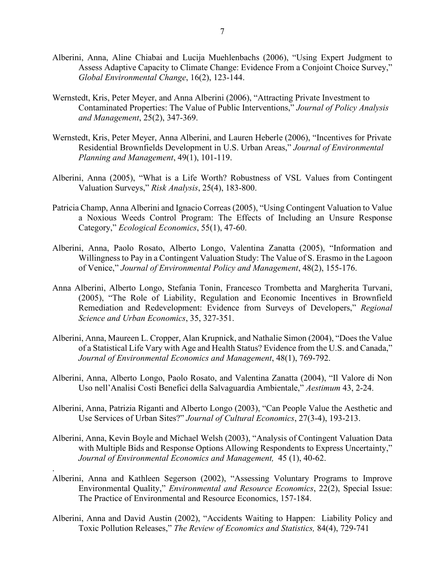- Alberini, Anna, Aline Chiabai and Lucija Muehlenbachs (2006), "Using Expert Judgment to Assess Adaptive Capacity to Climate Change: Evidence From a Conjoint Choice Survey," *Global Environmental Change*, 16(2), 123-144.
- Wernstedt, Kris, Peter Meyer, and Anna Alberini (2006), "Attracting Private Investment to Contaminated Properties: The Value of Public Interventions," *Journal of Policy Analysis and Management*, 25(2), 347-369.
- Wernstedt, Kris, Peter Meyer, Anna Alberini, and Lauren Heberle (2006), "Incentives for Private Residential Brownfields Development in U.S. Urban Areas," *Journal of Environmental Planning and Management*, 49(1), 101-119.
- Alberini, Anna (2005), "What is a Life Worth? Robustness of VSL Values from Contingent Valuation Surveys," *Risk Analysis*, 25(4), 183-800.
- Patricia Champ, Anna Alberini and Ignacio Correas (2005), "Using Contingent Valuation to Value a Noxious Weeds Control Program: The Effects of Including an Unsure Response Category," *Ecological Economics*, 55(1), 47-60.
- Alberini, Anna, Paolo Rosato, Alberto Longo, Valentina Zanatta (2005), "Information and Willingness to Pay in a Contingent Valuation Study: The Value of S. Erasmo in the Lagoon of Venice," *Journal of Environmental Policy and Management*, 48(2), 155-176.
- Anna Alberini, Alberto Longo, Stefania Tonin, Francesco Trombetta and Margherita Turvani, (2005), "The Role of Liability, Regulation and Economic Incentives in Brownfield Remediation and Redevelopment: Evidence from Surveys of Developers," *Regional Science and Urban Economics*, 35, 327-351.
- Alberini, Anna, Maureen L. Cropper, Alan Krupnick, and Nathalie Simon (2004), "Does the Value of a Statistical Life Vary with Age and Health Status? Evidence from the U.S. and Canada," *Journal of Environmental Economics and Management*, 48(1), 769-792.
- Alberini, Anna, Alberto Longo, Paolo Rosato, and Valentina Zanatta (2004), "Il Valore di Non Uso nell'Analisi Costi Benefici della Salvaguardia Ambientale," *Aestimum* 43, 2-24.
- Alberini, Anna, Patrizia Riganti and Alberto Longo (2003), "Can People Value the Aesthetic and Use Services of Urban Sites?" *Journal of Cultural Economics*, 27(3-4), 193-213.
- Alberini, Anna, Kevin Boyle and Michael Welsh (2003), "Analysis of Contingent Valuation Data with Multiple Bids and Response Options Allowing Respondents to Express Uncertainty," *Journal of Environmental Economics and Management,* 45 (1), 40-62.
- Alberini, Anna and Kathleen Segerson (2002), "Assessing Voluntary Programs to Improve Environmental Quality," *Environmental and Resource Economics*, 22(2), Special Issue: The Practice of Environmental and Resource Economics, 157-184.

.

Alberini, Anna and David Austin (2002), "Accidents Waiting to Happen: Liability Policy and Toxic Pollution Releases," *The Review of Economics and Statistics,* 84(4), 729-741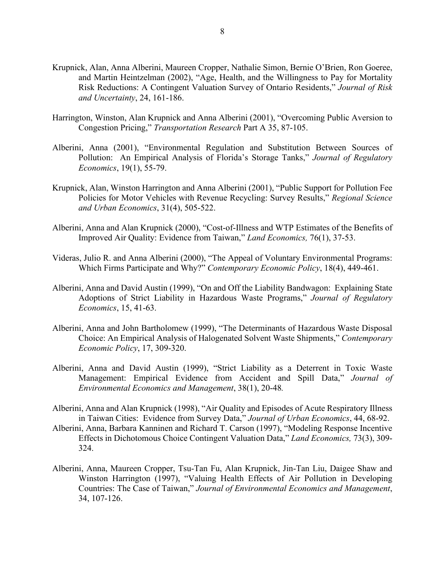- Krupnick, Alan, Anna Alberini, Maureen Cropper, Nathalie Simon, Bernie O'Brien, Ron Goeree, and Martin Heintzelman (2002), "Age, Health, and the Willingness to Pay for Mortality Risk Reductions: A Contingent Valuation Survey of Ontario Residents," *Journal of Risk and Uncertainty*, 24, 161-186.
- Harrington, Winston, Alan Krupnick and Anna Alberini (2001), "Overcoming Public Aversion to Congestion Pricing," *Transportation Research* Part A 35, 87-105.
- Alberini, Anna (2001), "Environmental Regulation and Substitution Between Sources of Pollution: An Empirical Analysis of Florida's Storage Tanks," *Journal of Regulatory Economics*, 19(1), 55-79.
- Krupnick, Alan, Winston Harrington and Anna Alberini (2001), "Public Support for Pollution Fee Policies for Motor Vehicles with Revenue Recycling: Survey Results," *Regional Science and Urban Economics*, 31(4), 505-522.
- Alberini, Anna and Alan Krupnick (2000), "Cost-of-Illness and WTP Estimates of the Benefits of Improved Air Quality: Evidence from Taiwan," *Land Economics,* 76(1), 37-53.
- Videras, Julio R. and Anna Alberini (2000), "The Appeal of Voluntary Environmental Programs: Which Firms Participate and Why?" *Contemporary Economic Policy*, 18(4), 449-461.
- Alberini, Anna and David Austin (1999), "On and Off the Liability Bandwagon: Explaining State Adoptions of Strict Liability in Hazardous Waste Programs," *Journal of Regulatory Economics*, 15, 41-63.
- Alberini, Anna and John Bartholomew (1999), "The Determinants of Hazardous Waste Disposal Choice: An Empirical Analysis of Halogenated Solvent Waste Shipments," *Contemporary Economic Policy*, 17, 309-320.
- Alberini, Anna and David Austin (1999), "Strict Liability as a Deterrent in Toxic Waste Management: Empirical Evidence from Accident and Spill Data," *Journal of Environmental Economics and Management*, 38(1), 20-48*.*
- Alberini, Anna and Alan Krupnick (1998), "Air Quality and Episodes of Acute Respiratory Illness in Taiwan Cities: Evidence from Survey Data," *Journal of Urban Economics*, 44, 68-92.
- Alberini, Anna, Barbara Kanninen and Richard T. Carson (1997), "Modeling Response Incentive Effects in Dichotomous Choice Contingent Valuation Data," *Land Economics,* 73(3), 309- 324.
- Alberini, Anna, Maureen Cropper, Tsu-Tan Fu, Alan Krupnick, Jin-Tan Liu, Daigee Shaw and Winston Harrington (1997), "Valuing Health Effects of Air Pollution in Developing Countries: The Case of Taiwan," *Journal of Environmental Economics and Management*, 34, 107-126.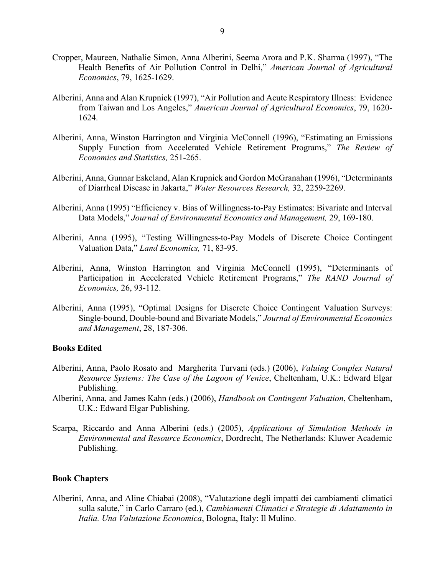- Cropper, Maureen, Nathalie Simon, Anna Alberini, Seema Arora and P.K. Sharma (1997), "The Health Benefits of Air Pollution Control in Delhi," *American Journal of Agricultural Economics*, 79, 1625-1629.
- Alberini, Anna and Alan Krupnick (1997), "Air Pollution and Acute Respiratory Illness: Evidence from Taiwan and Los Angeles," *American Journal of Agricultural Economics*, 79, 1620- 1624.
- Alberini, Anna, Winston Harrington and Virginia McConnell (1996), "Estimating an Emissions Supply Function from Accelerated Vehicle Retirement Programs," *The Review of Economics and Statistics,* 251-265.
- Alberini, Anna, Gunnar Eskeland, Alan Krupnick and Gordon McGranahan (1996), "Determinants of Diarrheal Disease in Jakarta," *Water Resources Research,* 32, 2259-2269.
- Alberini, Anna (1995) "Efficiency v. Bias of Willingness-to-Pay Estimates: Bivariate and Interval Data Models," *Journal of Environmental Economics and Management,* 29, 169-180.
- Alberini, Anna (1995), "Testing Willingness-to-Pay Models of Discrete Choice Contingent Valuation Data," *Land Economics,* 71, 83-95.
- Alberini, Anna, Winston Harrington and Virginia McConnell (1995), "Determinants of Participation in Accelerated Vehicle Retirement Programs," *The RAND Journal of Economics,* 26, 93-112.
- Alberini, Anna (1995), "Optimal Designs for Discrete Choice Contingent Valuation Surveys: Single-bound, Double-bound and Bivariate Models," *Journal of Environmental Economics and Management*, 28, 187-306.

#### **Books Edited**

- Alberini, Anna, Paolo Rosato and Margherita Turvani (eds.) (2006), *Valuing Complex Natural Resource Systems: The Case of the Lagoon of Venice*, Cheltenham, U.K.: Edward Elgar Publishing.
- Alberini, Anna, and James Kahn (eds.) (2006), *Handbook on Contingent Valuation*, Cheltenham, U.K.: Edward Elgar Publishing.
- Scarpa, Riccardo and Anna Alberini (eds.) (2005), *Applications of Simulation Methods in Environmental and Resource Economics*, Dordrecht, The Netherlands: Kluwer Academic Publishing.

#### **Book Chapters**

Alberini, Anna, and Aline Chiabai (2008), "Valutazione degli impatti dei cambiamenti climatici sulla salute," in Carlo Carraro (ed.), *Cambiamenti Climatici e Strategie di Adattamento in Italia. Una Valutazione Economica*, Bologna, Italy: Il Mulino.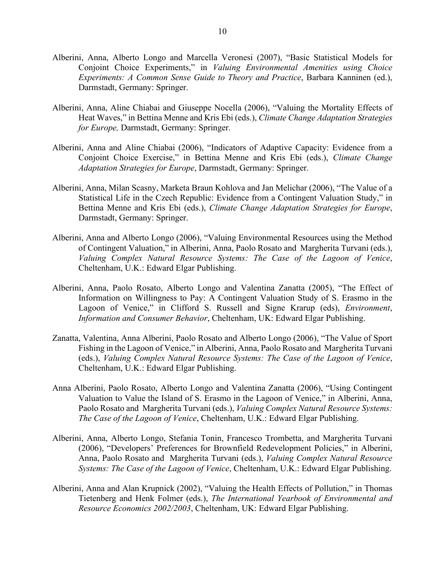- Alberini, Anna, Alberto Longo and Marcella Veronesi (2007), "Basic Statistical Models for Conjoint Choice Experiments," in *Valuing Environmental Amenities using Choice Experiments: A Common Sense Guide to Theory and Practice*, Barbara Kanninen (ed.), Darmstadt, Germany: Springer.
- Alberini, Anna, Aline Chiabai and Giuseppe Nocella (2006), "Valuing the Mortality Effects of Heat Waves," in Bettina Menne and Kris Ebi (eds.), *Climate Change Adaptation Strategies for Europe,* Darmstadt, Germany: Springer.
- Alberini, Anna and Aline Chiabai (2006), "Indicators of Adaptive Capacity: Evidence from a Conjoint Choice Exercise," in Bettina Menne and Kris Ebi (eds.), *Climate Change Adaptation Strategies for Europe*, Darmstadt, Germany: Springer.
- Alberini, Anna, Milan Scasny, Marketa Braun Kohlova and Jan Melichar (2006), "The Value of a Statistical Life in the Czech Republic: Evidence from a Contingent Valuation Study," in Bettina Menne and Kris Ebi (eds.), *Climate Change Adaptation Strategies for Europe*, Darmstadt, Germany: Springer.
- Alberini, Anna and Alberto Longo (2006), "Valuing Environmental Resources using the Method of Contingent Valuation," in Alberini, Anna, Paolo Rosato and Margherita Turvani (eds.), *Valuing Complex Natural Resource Systems: The Case of the Lagoon of Venice*, Cheltenham, U.K.: Edward Elgar Publishing.
- Alberini, Anna, Paolo Rosato, Alberto Longo and Valentina Zanatta (2005), "The Effect of Information on Willingness to Pay: A Contingent Valuation Study of S. Erasmo in the Lagoon of Venice," in Clifford S. Russell and Signe Krarup (eds), *Environment*, *Information and Consumer Behavior*, Cheltenham, UK: Edward Elgar Publishing.
- Zanatta, Valentina, Anna Alberini, Paolo Rosato and Alberto Longo (2006), "The Value of Sport Fishing in the Lagoon of Venice," in Alberini, Anna, Paolo Rosato and Margherita Turvani (eds.), *Valuing Complex Natural Resource Systems: The Case of the Lagoon of Venice*, Cheltenham, U.K.: Edward Elgar Publishing.
- Anna Alberini, Paolo Rosato, Alberto Longo and Valentina Zanatta (2006), "Using Contingent Valuation to Value the Island of S. Erasmo in the Lagoon of Venice," in Alberini, Anna, Paolo Rosato and Margherita Turvani (eds.), *Valuing Complex Natural Resource Systems: The Case of the Lagoon of Venice*, Cheltenham, U.K.: Edward Elgar Publishing.
- Alberini, Anna, Alberto Longo, Stefania Tonin, Francesco Trombetta, and Margherita Turvani (2006), "Developers' Preferences for Brownfield Redevelopment Policies," in Alberini, Anna, Paolo Rosato and Margherita Turvani (eds.), *Valuing Complex Natural Resource Systems: The Case of the Lagoon of Venice*, Cheltenham, U.K.: Edward Elgar Publishing.
- Alberini, Anna and Alan Krupnick (2002), "Valuing the Health Effects of Pollution," in Thomas Tietenberg and Henk Folmer (eds.), *The International Yearbook of Environmental and Resource Economics 2002/2003*, Cheltenham, UK: Edward Elgar Publishing.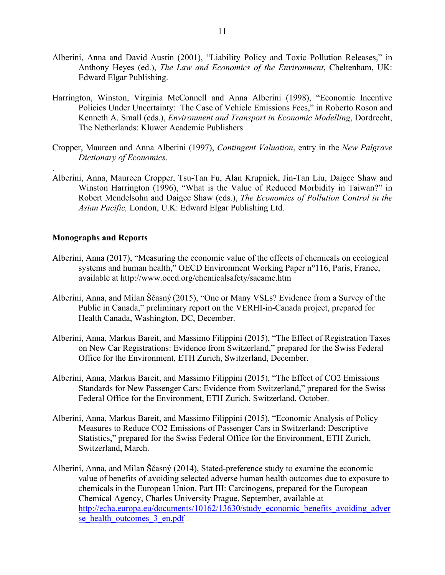- Alberini, Anna and David Austin (2001), "Liability Policy and Toxic Pollution Releases," in Anthony Heyes (ed.), *The Law and Economics of the Environment*, Cheltenham, UK: Edward Elgar Publishing.
- Harrington, Winston, Virginia McConnell and Anna Alberini (1998), "Economic Incentive Policies Under Uncertainty: The Case of Vehicle Emissions Fees," in Roberto Roson and Kenneth A. Small (eds.), *Environment and Transport in Economic Modelling*, Dordrecht, The Netherlands: Kluwer Academic Publishers
- Cropper, Maureen and Anna Alberini (1997), *Contingent Valuation*, entry in the *New Palgrave Dictionary of Economics*.
- Alberini, Anna, Maureen Cropper, Tsu-Tan Fu, Alan Krupnick, Jin-Tan Liu, Daigee Shaw and Winston Harrington (1996), "What is the Value of Reduced Morbidity in Taiwan?" in Robert Mendelsohn and Daigee Shaw (eds.), *The Economics of Pollution Control in the Asian Pacific,* London, U.K: Edward Elgar Publishing Ltd.

#### **Monographs and Reports**

.

- Alberini, Anna (2017), "Measuring the economic value of the effects of chemicals on ecological systems and human health," OECD Environment Working Paper n°116, Paris, France, available at<http://www.oecd.org/chemicalsafety/sacame.htm>
- Alberini, Anna, and Milan Ščasný (2015), "One or Many VSLs? Evidence from a Survey of the Public in Canada," preliminary report on the VERHI-in-Canada project, prepared for Health Canada, Washington, DC, December.
- Alberini, Anna, Markus Bareit, and Massimo Filippini (2015), "The Effect of Registration Taxes on New Car Registrations: Evidence from Switzerland," prepared for the Swiss Federal Office for the Environment, ETH Zurich, Switzerland, December.
- Alberini, Anna, Markus Bareit, and Massimo Filippini (2015), "The Effect of CO2 Emissions Standards for New Passenger Cars: Evidence from Switzerland," prepared for the Swiss Federal Office for the Environment, ETH Zurich, Switzerland, October.
- Alberini, Anna, Markus Bareit, and Massimo Filippini (2015), "Economic Analysis of Policy Measures to Reduce CO2 Emissions of Passenger Cars in Switzerland: Descriptive Statistics," prepared for the Swiss Federal Office for the Environment, ETH Zurich, Switzerland, March.
- Alberini, Anna, and Milan Ščasný (2014), Stated-preference study to examine the economic value of benefits of avoiding selected adverse human health outcomes due to exposure to chemicals in the European Union. Part III: Carcinogens, prepared for the European Chemical Agency, Charles University Prague, September, available at [http://echa.europa.eu/documents/10162/13630/study\\_economic\\_benefits\\_avoiding\\_adver](http://echa.europa.eu/documents/10162/13630/study_economic_benefits_avoiding_adverse_health_outcomes_3_en.pdf) se health outcomes 3 en.pdf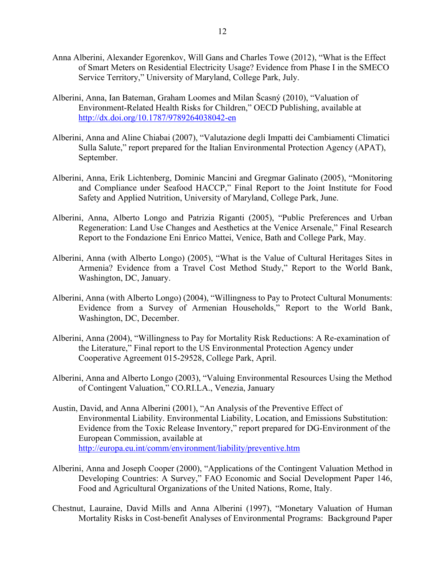- Anna Alberini, Alexander Egorenkov, Will Gans and Charles Towe (2012), "What is the Effect of Smart Meters on Residential Electricity Usage? Evidence from Phase I in the SMECO Service Territory," University of Maryland, College Park, July.
- Alberini, Anna, Ian Bateman, Graham Loomes and Milan Šcasný (2010), "Valuation of Environment-Related Health Risks for Children," OECD Publishing, available at <http://dx.doi.org/10.1787/9789264038042-en>
- Alberini, Anna and Aline Chiabai (2007), "Valutazione degli Impatti dei Cambiamenti Climatici Sulla Salute," report prepared for the Italian Environmental Protection Agency (APAT), September.
- Alberini, Anna, Erik Lichtenberg, Dominic Mancini and Gregmar Galinato (2005), "Monitoring and Compliance under Seafood HACCP," Final Report to the Joint Institute for Food Safety and Applied Nutrition, University of Maryland, College Park, June.
- Alberini, Anna, Alberto Longo and Patrizia Riganti (2005), "Public Preferences and Urban Regeneration: Land Use Changes and Aesthetics at the Venice Arsenale," Final Research Report to the Fondazione Eni Enrico Mattei, Venice, Bath and College Park, May.
- Alberini, Anna (with Alberto Longo) (2005), "What is the Value of Cultural Heritages Sites in Armenia? Evidence from a Travel Cost Method Study," Report to the World Bank, Washington, DC, January.
- Alberini, Anna (with Alberto Longo) (2004), "Willingness to Pay to Protect Cultural Monuments: Evidence from a Survey of Armenian Households," Report to the World Bank, Washington, DC, December.
- Alberini, Anna (2004), "Willingness to Pay for Mortality Risk Reductions: A Re-examination of the Literature," Final report to the US Environmental Protection Agency under Cooperative Agreement 015-29528, College Park, April.
- Alberini, Anna and Alberto Longo (2003), "Valuing Environmental Resources Using the Method of Contingent Valuation," CO.RI.LA., Venezia, January
- Austin, David, and Anna Alberini (2001), "An Analysis of the Preventive Effect of Environmental Liability. Environmental Liability, Location, and Emissions Substitution: Evidence from the Toxic Release Inventory," report prepared for DG-Environment of the European Commission, available at <http://europa.eu.int/comm/environment/liability/preventive.htm>
- Alberini, Anna and Joseph Cooper (2000), "Applications of the Contingent Valuation Method in Developing Countries: A Survey," FAO Economic and Social Development Paper 146, Food and Agricultural Organizations of the United Nations, Rome, Italy.
- Chestnut, Lauraine, David Mills and Anna Alberini (1997), "Monetary Valuation of Human Mortality Risks in Cost-benefit Analyses of Environmental Programs: Background Paper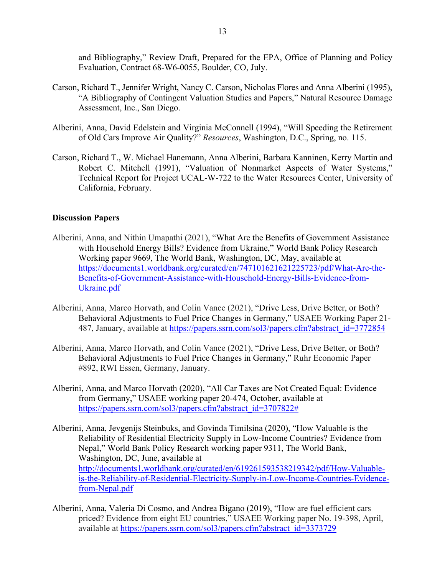and Bibliography," Review Draft, Prepared for the EPA, Office of Planning and Policy Evaluation, Contract 68-W6-0055, Boulder, CO, July.

- Carson, Richard T., Jennifer Wright, Nancy C. Carson, Nicholas Flores and Anna Alberini (1995), "A Bibliography of Contingent Valuation Studies and Papers," Natural Resource Damage Assessment, Inc., San Diego.
- Alberini, Anna, David Edelstein and Virginia McConnell (1994), "Will Speeding the Retirement of Old Cars Improve Air Quality?" *Resources*, Washington, D.C., Spring, no. 115.
- Carson, Richard T., W. Michael Hanemann, Anna Alberini, Barbara Kanninen, Kerry Martin and Robert C. Mitchell (1991), "Valuation of Nonmarket Aspects of Water Systems," Technical Report for Project UCAL-W-722 to the Water Resources Center, University of California, February.

#### **Discussion Papers**

- Alberini, Anna, and Nithin Umapathi (2021), "What Are the Benefits of Government Assistance with Household Energy Bills? Evidence from Ukraine," World Bank Policy Research Working paper 9669, The World Bank, Washington, DC, May, available at [https://documents1.worldbank.org/curated/en/747101621621225723/pdf/What-Are-the-](https://documents1.worldbank.org/curated/en/747101621621225723/pdf/What-Are-the-Benefits-of-Government-Assistance-with-Household-Energy-Bills-Evidence-from-Ukraine.pdf)[Benefits-of-Government-Assistance-with-Household-Energy-Bills-Evidence-from-](https://documents1.worldbank.org/curated/en/747101621621225723/pdf/What-Are-the-Benefits-of-Government-Assistance-with-Household-Energy-Bills-Evidence-from-Ukraine.pdf)[Ukraine.pdf](https://documents1.worldbank.org/curated/en/747101621621225723/pdf/What-Are-the-Benefits-of-Government-Assistance-with-Household-Energy-Bills-Evidence-from-Ukraine.pdf)
- Alberini, Anna, Marco Horvath, and Colin Vance (2021), "Drive Less, Drive Better, or Both? Behavioral Adjustments to Fuel Price Changes in Germany," USAEE Working Paper 21 487, January, available at [https://papers.ssrn.com/sol3/papers.cfm?abstract\\_id=3772854](https://papers.ssrn.com/sol3/papers.cfm?abstract_id=3772854)
- Alberini, Anna, Marco Horvath, and Colin Vance (2021), "Drive Less, Drive Better, or Both? Behavioral Adjustments to Fuel Price Changes in Germany," Ruhr Economic Paper #892, RWI Essen, Germany, January.
- Alberini, Anna, and Marco Horvath (2020), "All Car Taxes are Not Created Equal: Evidence from Germany," USAEE working paper 20-474, October, available at [https://papers.ssrn.com/sol3/papers.cfm?abstract\\_id=3707822#](https://papers.ssrn.com/sol3/papers.cfm?abstract_id=3707822)
- Alberini, Anna, Jevgenijs Steinbuks, and Govinda Timilsina (2020), "How Valuable is the Reliability of Residential Electricity Supply in Low-Income Countries? Evidence from Nepal," World Bank Policy Research working paper 9311, The World Bank, Washington, DC, June, available at [http://documents1.worldbank.org/curated/en/619261593538219342/pdf/How-Valuable](http://documents1.worldbank.org/curated/en/619261593538219342/pdf/How-Valuable-is-the-Reliability-of-Residential-Electricity-Supply-in-Low-Income-Countries-Evidence-from-Nepal.pdf)[is-the-Reliability-of-Residential-Electricity-Supply-in-Low-Income-Countries-Evidence](http://documents1.worldbank.org/curated/en/619261593538219342/pdf/How-Valuable-is-the-Reliability-of-Residential-Electricity-Supply-in-Low-Income-Countries-Evidence-from-Nepal.pdf)[from-Nepal.pdf](http://documents1.worldbank.org/curated/en/619261593538219342/pdf/How-Valuable-is-the-Reliability-of-Residential-Electricity-Supply-in-Low-Income-Countries-Evidence-from-Nepal.pdf)
- Alberini, Anna, Valeria Di Cosmo, and Andrea Bigano (2019), "How are fuel efficient cars priced? Evidence from eight EU countries," USAEE Working paper No. 19-398, April, available at [https://papers.ssrn.com/sol3/papers.cfm?abstract\\_id=3373729](https://papers.ssrn.com/sol3/papers.cfm?abstract_id=3373729)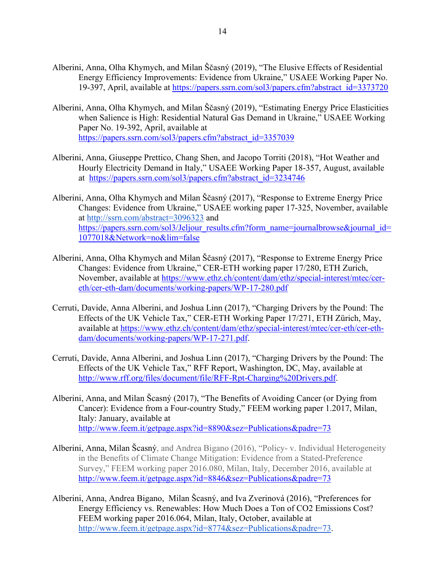- Alberini, Anna, Olha Khymych, and Milan Ščasný (2019), "The Elusive Effects of Residential Energy Efficiency Improvements: Evidence from Ukraine," USAEE Working Paper No. 19-397, April, available at [https://papers.ssrn.com/sol3/papers.cfm?abstract\\_id=3373720](https://papers.ssrn.com/sol3/papers.cfm?abstract_id=3373720)
- Alberini, Anna, Olha Khymych, and Milan Ščasný (2019), "Estimating Energy Price Elasticities when Salience is High: Residential Natural Gas Demand in Ukraine," USAEE Working Paper No. 19-392, April, available at [https://papers.ssrn.com/sol3/papers.cfm?abstract\\_id=3357039](https://papers.ssrn.com/sol3/papers.cfm?abstract_id=3357039)
- Alberini, Anna, Giuseppe Prettico, Chang Shen, and Jacopo Torriti (2018), "Hot Weather and Hourly Electricity Demand in Italy," USAEE Working Paper 18-357, August, available at [https://papers.ssrn.com/sol3/papers.cfm?abstract\\_id=3234746](https://papers.ssrn.com/sol3/papers.cfm?abstract_id=3234746)
- Alberini, Anna, Olha Khymych and Milan Ščasný (2017), "Response to Extreme Energy Price Changes: Evidence from Ukraine," USAEE working paper 17-325, November, available at<http://ssrn.com/abstract=3096323> and [https://papers.ssrn.com/sol3/Jeljour\\_results.cfm?form\\_name=journalbrowse&journal\\_id=](https://papers.ssrn.com/sol3/Jeljour_results.cfm?form_name=journalbrowse&journal_id=1077018&Network=no&lim=false) [1077018&Network=no&lim=false](https://papers.ssrn.com/sol3/Jeljour_results.cfm?form_name=journalbrowse&journal_id=1077018&Network=no&lim=false)
- Alberini, Anna, Olha Khymych and Milan Ščasný (2017), "Response to Extreme Energy Price Changes: Evidence from Ukraine," CER-ETH working paper 17/280, ETH Zurich, November, available at [https://www.ethz.ch/content/dam/ethz/special-interest/mtec/cer](https://www.ethz.ch/content/dam/ethz/special-interest/mtec/cer-eth/cer-eth-dam/documents/working-papers/WP-17-280.pdf)[eth/cer-eth-dam/documents/working-papers/WP-17-280.pdf](https://www.ethz.ch/content/dam/ethz/special-interest/mtec/cer-eth/cer-eth-dam/documents/working-papers/WP-17-280.pdf)
- Cerruti, Davide, Anna Alberini, and Joshua Linn (2017), "Charging Drivers by the Pound: The Effects of the UK Vehicle Tax," CER-ETH Working Paper 17/271, ETH Zürich, May, available at [https://www.ethz.ch/content/dam/ethz/special-interest/mtec/cer-eth/cer-eth](https://www.ethz.ch/content/dam/ethz/special-interest/mtec/cer-eth/cer-eth-dam/documents/working-papers/WP-17-271.pdf)[dam/documents/working-papers/WP-17-271.pdf.](https://www.ethz.ch/content/dam/ethz/special-interest/mtec/cer-eth/cer-eth-dam/documents/working-papers/WP-17-271.pdf)
- Cerruti, Davide, Anna Alberini, and Joshua Linn (2017), "Charging Drivers by the Pound: The Effects of the UK Vehicle Tax," RFF Report, Washington, DC, May, available at [http://www.rff.org/files/document/file/RFF-Rpt-Charging%20Drivers.pdf.](http://www.rff.org/files/document/file/RFF-Rpt-Charging%20Drivers.pdf)
- Alberini, Anna, and Milan Šcasný (2017), "The Benefits of Avoiding Cancer (or Dying from Cancer): Evidence from a Four-country Study," FEEM working paper 1.2017, Milan, Italy: January, available at <http://www.feem.it/getpage.aspx?id=8890&sez=Publications&padre=73>
- Alberini, Anna, Milan Šcasný, and Andrea Bigano (2016), "Policy- v. Individual Heterogeneity in the Benefits of Climate Change Mitigation: Evidence from a Stated-Preference Survey," FEEM working paper 2016.080, Milan, Italy, December 2016, available at <http://www.feem.it/getpage.aspx?id=8846&sez=Publications&padre=73>
- Alberini, Anna, Andrea Bigano, Milan Šcasný, and Iva Zverinová (2016), "Preferences for Energy Efficiency vs. Renewables: How Much Does a Ton of CO2 Emissions Cost? FEEM working paper 2016.064, Milan, Italy, October, available at [http://www.feem.it/getpage.aspx?id=8774&sez=Publications&padre=73.](http://www.feem.it/getpage.aspx?id=8774&sez=Publications&padre=73)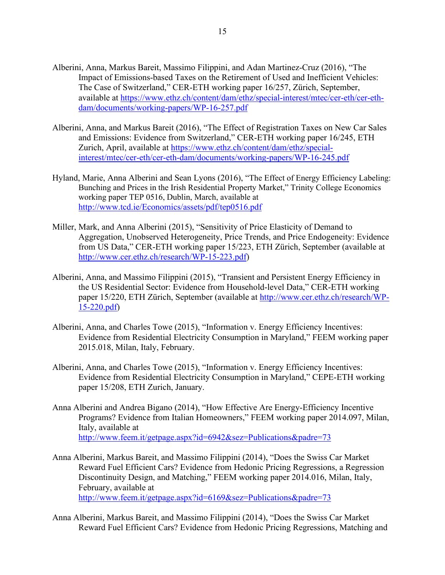- Alberini, Anna, Markus Bareit, Massimo Filippini, and Adan Martinez-Cruz (2016), "The Impact of Emissions-based Taxes on the Retirement of Used and Inefficient Vehicles: The Case of Switzerland," CER-ETH working paper 16/257, Zürich, September, available at [https://www.ethz.ch/content/dam/ethz/special-interest/mtec/cer-eth/cer-eth](https://www.ethz.ch/content/dam/ethz/special-interest/mtec/cer-eth/cer-eth-dam/documents/working-papers/WP-16-257.pdf)[dam/documents/working-papers/WP-16-257.pdf](https://www.ethz.ch/content/dam/ethz/special-interest/mtec/cer-eth/cer-eth-dam/documents/working-papers/WP-16-257.pdf)
- Alberini, Anna, and Markus Bareit (2016), "The Effect of Registration Taxes on New Car Sales and Emissions: Evidence from Switzerland," CER-ETH working paper 16/245, ETH Zurich, April, available at [https://www.ethz.ch/content/dam/ethz/special](https://www.ethz.ch/content/dam/ethz/special-interest/mtec/cer-eth/cer-eth-dam/documents/working-papers/WP-16-245.pdf)[interest/mtec/cer-eth/cer-eth-dam/documents/working-papers/WP-16-245.pdf](https://www.ethz.ch/content/dam/ethz/special-interest/mtec/cer-eth/cer-eth-dam/documents/working-papers/WP-16-245.pdf)
- Hyland, Marie, Anna Alberini and Sean Lyons (2016), "The Effect of Energy Efficiency Labeling: Bunching and Prices in the Irish Residential Property Market," Trinity College Economics working paper TEP 0516, Dublin, March, available at <http://www.tcd.ie/Economics/assets/pdf/tep0516.pdf>
- Miller, Mark, and Anna Alberini (2015), "Sensitivity of Price Elasticity of Demand to Aggregation, Unobserved Heterogeneity, Price Trends, and Price Endogeneity: Evidence from US Data," CER-ETH working paper 15/223, ETH Zürich, September (available at [http://www.cer.ethz.ch/research/WP-15-223.pdf\)](http://www.cer.ethz.ch/research/WP-15-223.pdf)
- Alberini, Anna, and Massimo Filippini (2015), "Transient and Persistent Energy Efficiency in the US Residential Sector: Evidence from Household-level Data," CER-ETH working paper 15/220, ETH Zürich, September (available at [http://www.cer.ethz.ch/research/WP-](http://www.cer.ethz.ch/research/WP-15-220.pdf)[15-220.pdf\)](http://www.cer.ethz.ch/research/WP-15-220.pdf)
- Alberini, Anna, and Charles Towe (2015), "Information v. Energy Efficiency Incentives: Evidence from Residential Electricity Consumption in Maryland," FEEM working paper 2015.018, Milan, Italy, February.
- Alberini, Anna, and Charles Towe (2015), "Information v. Energy Efficiency Incentives: Evidence from Residential Electricity Consumption in Maryland," CEPE-ETH working paper 15/208, ETH Zurich, January.
- Anna Alberini and Andrea Bigano (2014), "How Effective Are Energy-Efficiency Incentive Programs? Evidence from Italian Homeowners," FEEM working paper 2014.097, Milan, Italy, available at <http://www.feem.it/getpage.aspx?id=6942&sez=Publications&padre=73>
- Anna Alberini, Markus Bareit, and Massimo Filippini (2014), "Does the Swiss Car Market Reward Fuel Efficient Cars? Evidence from Hedonic Pricing Regressions, a Regression Discontinuity Design, and Matching," FEEM working paper 2014.016, Milan, Italy, February, available at <http://www.feem.it/getpage.aspx?id=6169&sez=Publications&padre=73>
- Anna Alberini, Markus Bareit, and Massimo Filippini (2014), "Does the Swiss Car Market Reward Fuel Efficient Cars? Evidence from Hedonic Pricing Regressions, Matching and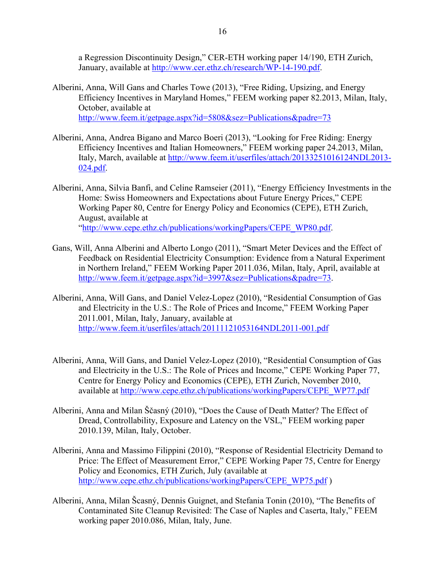a Regression Discontinuity Design," CER-ETH working paper 14/190, ETH Zurich, January, available at [http://www.cer.ethz.ch/research/WP-14-190.pdf.](http://www.cer.ethz.ch/research/WP-14-190.pdf)

- Alberini, Anna, Will Gans and Charles Towe (2013), "Free Riding, Upsizing, and Energy Efficiency Incentives in Maryland Homes," FEEM working paper 82.2013, Milan, Italy, October, available at <http://www.feem.it/getpage.aspx?id=5808&sez=Publications&padre=73>
- Alberini, Anna, Andrea Bigano and Marco Boeri (2013), "Looking for Free Riding: Energy Efficiency Incentives and Italian Homeowners," FEEM working paper 24.2013, Milan, Italy, March, available at [http://www.feem.it/userfiles/attach/20133251016124NDL2013-](http://www.feem.it/userfiles/attach/20133251016124NDL2013-024.pdf) [024.pdf.](http://www.feem.it/userfiles/attach/20133251016124NDL2013-024.pdf)
- Alberini, Anna, Silvia Banfi, and Celine Ramseier (2011), "Energy Efficiency Investments in the Home: Swiss Homeowners and Expectations about Future Energy Prices," CEPE Working Paper 80, Centre for Energy Policy and Economics (CEPE), ETH Zurich, August, available at ["http://www.cepe.ethz.ch/publications/workingPapers/CEPE\\_WP80.pdf.](http://www.cepe.ethz.ch/publications/workingPapers/CEPE_WP80.pdf)
- Gans, Will, Anna Alberini and Alberto Longo (2011), "Smart Meter Devices and the Effect of Feedback on Residential Electricity Consumption: Evidence from a Natural Experiment in Northern Ireland," FEEM Working Paper 2011.036, Milan, Italy, April, available at [http://www.feem.it/getpage.aspx?id=3997&sez=Publications&padre=73.](http://www.feem.it/getpage.aspx?id=3997&sez=Publications&padre=73)
- Alberini, Anna, Will Gans, and Daniel Velez-Lopez (2010), "Residential Consumption of Gas and Electricity in the U.S.: The Role of Prices and Income," FEEM Working Paper 2011.001, Milan, Italy, January, available at <http://www.feem.it/userfiles/attach/20111121053164NDL2011-001.pdf>
- Alberini, Anna, Will Gans, and Daniel Velez-Lopez (2010), "Residential Consumption of Gas and Electricity in the U.S.: The Role of Prices and Income," CEPE Working Paper 77, Centre for Energy Policy and Economics (CEPE), ETH Zurich, November 2010, available at [http://www.cepe.ethz.ch/publications/workingPapers/CEPE\\_WP77.pdf](http://www.cepe.ethz.ch/publications/workingPapers/CEPE_WP77.pdf)
- Alberini, Anna and Milan Ščasný (2010), "Does the Cause of Death Matter? The Effect of Dread, Controllability, Exposure and Latency on the VSL," FEEM working paper 2010.139, Milan, Italy, October.
- Alberini, Anna and Massimo Filippini (2010), "Response of Residential Electricity Demand to Price: The Effect of Measurement Error," CEPE Working Paper 75, Centre for Energy Policy and Economics, ETH Zurich, July (available at [http://www.cepe.ethz.ch/publications/workingPapers/CEPE\\_WP75.pdf](http://www.cepe.ethz.ch/publications/workingPapers/CEPE_WP75.pdf) )
- Alberini, Anna, Milan Šcasný, Dennis Guignet, and Stefania Tonin (2010), "The Benefits of Contaminated Site Cleanup Revisited: The Case of Naples and Caserta, Italy," FEEM working paper 2010.086, Milan, Italy, June.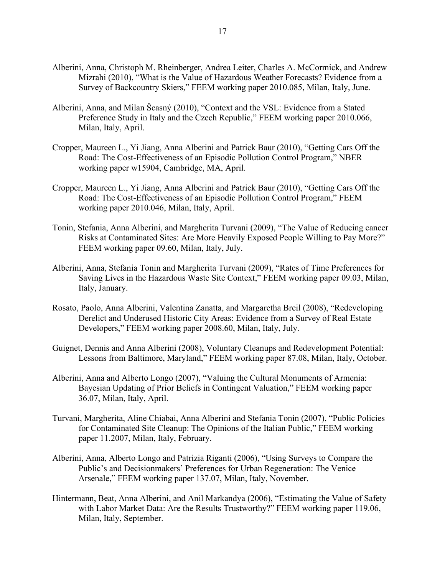- Alberini, Anna, Christoph M. Rheinberger, Andrea Leiter, Charles A. McCormick, and Andrew Mizrahi (2010), "What is the Value of Hazardous Weather Forecasts? Evidence from a Survey of Backcountry Skiers," FEEM working paper 2010.085, Milan, Italy, June.
- Alberini, Anna, and Milan Šcasný (2010), "Context and the VSL: Evidence from a Stated Preference Study in Italy and the Czech Republic," FEEM working paper 2010.066, Milan, Italy, April.
- Cropper, Maureen L., Yi Jiang, Anna Alberini and Patrick Baur (2010), "Getting Cars Off the Road: The Cost-Effectiveness of an Episodic Pollution Control Program," NBER working paper w15904, Cambridge, MA, April.
- Cropper, Maureen L., Yi Jiang, Anna Alberini and Patrick Baur (2010), "Getting Cars Off the Road: The Cost-Effectiveness of an Episodic Pollution Control Program," FEEM working paper 2010.046, Milan, Italy, April.
- Tonin, Stefania, Anna Alberini, and Margherita Turvani (2009), "The Value of Reducing cancer Risks at Contaminated Sites: Are More Heavily Exposed People Willing to Pay More?" FEEM working paper 09.60, Milan, Italy, July.
- Alberini, Anna, Stefania Tonin and Margherita Turvani (2009), "Rates of Time Preferences for Saving Lives in the Hazardous Waste Site Context," FEEM working paper 09.03, Milan, Italy, January.
- Rosato, Paolo, Anna Alberini, Valentina Zanatta, and Margaretha Breil (2008), "Redeveloping Derelict and Underused Historic City Areas: Evidence from a Survey of Real Estate Developers," FEEM working paper 2008.60, Milan, Italy, July.
- Guignet, Dennis and Anna Alberini (2008), Voluntary Cleanups and Redevelopment Potential: Lessons from Baltimore, Maryland," FEEM working paper 87.08, Milan, Italy, October.
- Alberini, Anna and Alberto Longo (2007), "Valuing the Cultural Monuments of Armenia: Bayesian Updating of Prior Beliefs in Contingent Valuation," FEEM working paper 36.07, Milan, Italy, April.
- Turvani, Margherita, Aline Chiabai, Anna Alberini and Stefania Tonin (2007), "Public Policies for Contaminated Site Cleanup: The Opinions of the Italian Public," FEEM working paper 11.2007, Milan, Italy, February.
- Alberini, Anna, Alberto Longo and Patrizia Riganti (2006), "Using Surveys to Compare the Public's and Decisionmakers' Preferences for Urban Regeneration: The Venice Arsenale," FEEM working paper 137.07, Milan, Italy, November.
- Hintermann, Beat, Anna Alberini, and Anil Markandya (2006), "Estimating the Value of Safety with Labor Market Data: Are the Results Trustworthy?" FEEM working paper 119.06, Milan, Italy, September.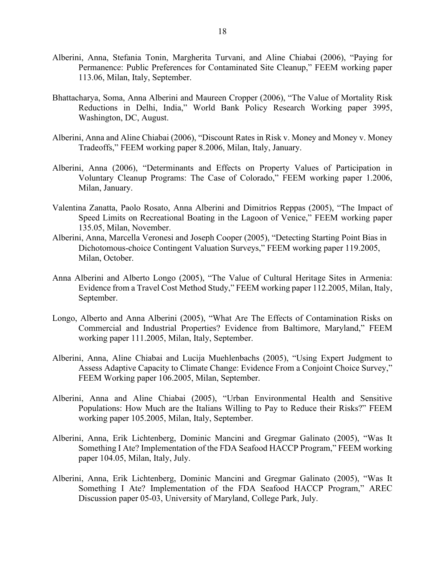- Alberini, Anna, Stefania Tonin, Margherita Turvani, and Aline Chiabai (2006), "Paying for Permanence: Public Preferences for Contaminated Site Cleanup," FEEM working paper 113.06, Milan, Italy, September.
- Bhattacharya, Soma, Anna Alberini and Maureen Cropper (2006), "The Value of Mortality Risk Reductions in Delhi, India," World Bank Policy Research Working paper 3995, Washington, DC, August.
- Alberini, Anna and Aline Chiabai (2006), "Discount Rates in Risk v. Money and Money v. Money Tradeoffs," FEEM working paper 8.2006, Milan, Italy, January.
- Alberini, Anna (2006), "Determinants and Effects on Property Values of Participation in Voluntary Cleanup Programs: The Case of Colorado," FEEM working paper 1.2006, Milan, January.
- Valentina Zanatta, Paolo Rosato, Anna Alberini and Dimitrios Reppas (2005), "The Impact of Speed Limits on Recreational Boating in the Lagoon of Venice," FEEM working paper 135.05, Milan, November.
- Alberini, Anna, Marcella Veronesi and Joseph Cooper (2005), "Detecting Starting Point Bias in Dichotomous-choice Contingent Valuation Surveys," FEEM working paper 119.2005, Milan, October.
- Anna Alberini and Alberto Longo (2005), "The Value of Cultural Heritage Sites in Armenia: Evidence from a Travel Cost Method Study," FEEM working paper 112.2005, Milan, Italy, September.
- Longo, Alberto and Anna Alberini (2005), "What Are The Effects of Contamination Risks on Commercial and Industrial Properties? Evidence from Baltimore, Maryland," FEEM working paper 111.2005, Milan, Italy, September.
- Alberini, Anna, Aline Chiabai and Lucija Muehlenbachs (2005), "Using Expert Judgment to Assess Adaptive Capacity to Climate Change: Evidence From a Conjoint Choice Survey," FEEM Working paper 106.2005, Milan, September.
- Alberini, Anna and Aline Chiabai (2005), "Urban Environmental Health and Sensitive Populations: How Much are the Italians Willing to Pay to Reduce their Risks?" FEEM working paper 105.2005, Milan, Italy, September.
- Alberini, Anna, Erik Lichtenberg, Dominic Mancini and Gregmar Galinato (2005), "Was It Something I Ate? Implementation of the FDA Seafood HACCP Program," FEEM working paper 104.05, Milan, Italy, July.
- Alberini, Anna, Erik Lichtenberg, Dominic Mancini and Gregmar Galinato (2005), "Was It Something I Ate? Implementation of the FDA Seafood HACCP Program," AREC Discussion paper 05-03, University of Maryland, College Park, July.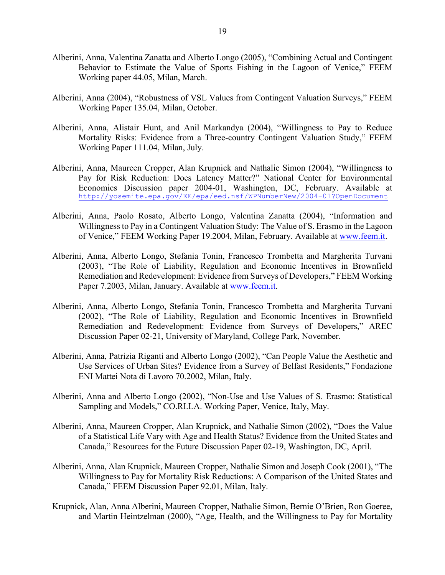- Alberini, Anna, Valentina Zanatta and Alberto Longo (2005), "Combining Actual and Contingent Behavior to Estimate the Value of Sports Fishing in the Lagoon of Venice," FEEM Working paper 44.05, Milan, March.
- Alberini, Anna (2004), "Robustness of VSL Values from Contingent Valuation Surveys," FEEM Working Paper 135.04, Milan, October.
- Alberini, Anna, Alistair Hunt, and Anil Markandya (2004), "Willingness to Pay to Reduce Mortality Risks: Evidence from a Three-country Contingent Valuation Study," FEEM Working Paper 111.04, Milan, July.
- Alberini, Anna, Maureen Cropper, Alan Krupnick and Nathalie Simon (2004), "Willingness to Pay for Risk Reduction: Does Latency Matter?" National Center for Environmental Economics Discussion paper 2004-01, Washington, DC, February. Available at <http://yosemite.epa.gov/EE/epa/eed.nsf/WPNumberNew/2004-01?OpenDocument>
- Alberini, Anna, Paolo Rosato, Alberto Longo, Valentina Zanatta (2004), "Information and Willingness to Pay in a Contingent Valuation Study: The Value of S. Erasmo in the Lagoon of Venice," FEEM Working Paper 19.2004, Milan, February. Available at [www.feem.it.](http://www.feem.it/)
- Alberini, Anna, Alberto Longo, Stefania Tonin, Francesco Trombetta and Margherita Turvani (2003), "The Role of Liability, Regulation and Economic Incentives in Brownfield Remediation and Redevelopment: Evidence from Surveys of Developers," FEEM Working Paper 7.2003, Milan, January. Available at [www.feem.it.](http://www.feem.it/)
- Alberini, Anna, Alberto Longo, Stefania Tonin, Francesco Trombetta and Margherita Turvani (2002), "The Role of Liability, Regulation and Economic Incentives in Brownfield Remediation and Redevelopment: Evidence from Surveys of Developers," AREC Discussion Paper 02-21, University of Maryland, College Park, November.
- Alberini, Anna, Patrizia Riganti and Alberto Longo (2002), "Can People Value the Aesthetic and Use Services of Urban Sites? Evidence from a Survey of Belfast Residents," Fondazione ENI Mattei Nota di Lavoro 70.2002, Milan, Italy.
- Alberini, Anna and Alberto Longo (2002), "Non-Use and Use Values of S. Erasmo: Statistical Sampling and Models," CO.RI.LA. Working Paper, Venice, Italy, May.
- Alberini, Anna, Maureen Cropper, Alan Krupnick, and Nathalie Simon (2002), "Does the Value of a Statistical Life Vary with Age and Health Status? Evidence from the United States and Canada," Resources for the Future Discussion Paper 02-19, Washington, DC, April.
- Alberini, Anna, Alan Krupnick, Maureen Cropper, Nathalie Simon and Joseph Cook (2001), "The Willingness to Pay for Mortality Risk Reductions: A Comparison of the United States and Canada," FEEM Discussion Paper 92.01, Milan, Italy.
- Krupnick, Alan, Anna Alberini, Maureen Cropper, Nathalie Simon, Bernie O'Brien, Ron Goeree, and Martin Heintzelman (2000), "Age, Health, and the Willingness to Pay for Mortality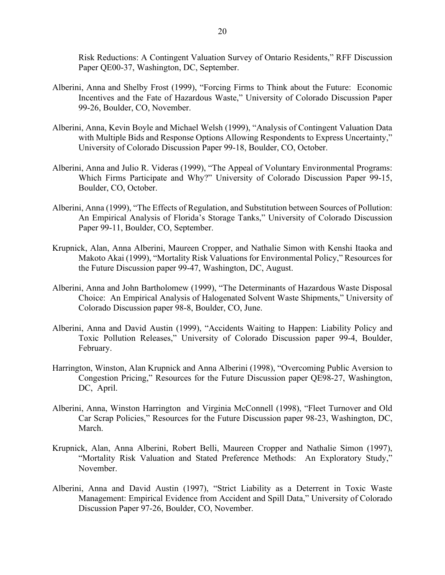Risk Reductions: A Contingent Valuation Survey of Ontario Residents," RFF Discussion Paper QE00-37, Washington, DC, September.

- Alberini, Anna and Shelby Frost (1999), "Forcing Firms to Think about the Future: Economic Incentives and the Fate of Hazardous Waste," University of Colorado Discussion Paper 99-26, Boulder, CO, November.
- Alberini, Anna, Kevin Boyle and Michael Welsh (1999), "Analysis of Contingent Valuation Data with Multiple Bids and Response Options Allowing Respondents to Express Uncertainty," University of Colorado Discussion Paper 99-18, Boulder, CO, October.
- Alberini, Anna and Julio R. Videras (1999), "The Appeal of Voluntary Environmental Programs: Which Firms Participate and Why?" University of Colorado Discussion Paper 99-15, Boulder, CO, October.
- Alberini, Anna (1999), "The Effects of Regulation, and Substitution between Sources of Pollution: An Empirical Analysis of Florida's Storage Tanks," University of Colorado Discussion Paper 99-11, Boulder, CO, September.
- Krupnick, Alan, Anna Alberini, Maureen Cropper, and Nathalie Simon with Kenshi Itaoka and Makoto Akai (1999), "Mortality Risk Valuations for Environmental Policy," Resources for the Future Discussion paper 99-47, Washington, DC, August.
- Alberini, Anna and John Bartholomew (1999), "The Determinants of Hazardous Waste Disposal Choice: An Empirical Analysis of Halogenated Solvent Waste Shipments," University of Colorado Discussion paper 98-8, Boulder, CO, June.
- Alberini, Anna and David Austin (1999), "Accidents Waiting to Happen: Liability Policy and Toxic Pollution Releases," University of Colorado Discussion paper 99-4, Boulder, February.
- Harrington, Winston, Alan Krupnick and Anna Alberini (1998), "Overcoming Public Aversion to Congestion Pricing," Resources for the Future Discussion paper QE98-27, Washington, DC, April.
- Alberini, Anna, Winston Harrington and Virginia McConnell (1998), "Fleet Turnover and Old Car Scrap Policies," Resources for the Future Discussion paper 98-23, Washington, DC, March.
- Krupnick, Alan, Anna Alberini, Robert Belli, Maureen Cropper and Nathalie Simon (1997), "Mortality Risk Valuation and Stated Preference Methods: An Exploratory Study," November.
- Alberini, Anna and David Austin (1997), "Strict Liability as a Deterrent in Toxic Waste Management: Empirical Evidence from Accident and Spill Data," University of Colorado Discussion Paper 97-26, Boulder, CO, November.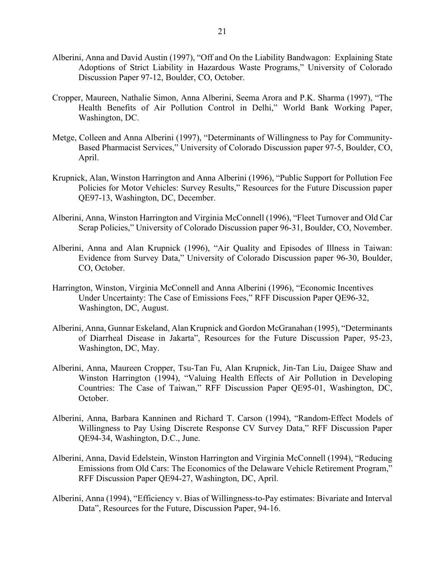- Alberini, Anna and David Austin (1997), "Off and On the Liability Bandwagon: Explaining State Adoptions of Strict Liability in Hazardous Waste Programs," University of Colorado Discussion Paper 97-12, Boulder, CO, October.
- Cropper, Maureen, Nathalie Simon, Anna Alberini, Seema Arora and P.K. Sharma (1997), "The Health Benefits of Air Pollution Control in Delhi," World Bank Working Paper, Washington, DC.
- Metge, Colleen and Anna Alberini (1997), "Determinants of Willingness to Pay for Community-Based Pharmacist Services," University of Colorado Discussion paper 97-5, Boulder, CO, April.
- Krupnick, Alan, Winston Harrington and Anna Alberini (1996), "Public Support for Pollution Fee Policies for Motor Vehicles: Survey Results," Resources for the Future Discussion paper QE97-13, Washington, DC, December.
- Alberini, Anna, Winston Harrington and Virginia McConnell (1996), "Fleet Turnover and Old Car Scrap Policies," University of Colorado Discussion paper 96-31, Boulder, CO, November.
- Alberini, Anna and Alan Krupnick (1996), "Air Quality and Episodes of Illness in Taiwan: Evidence from Survey Data," University of Colorado Discussion paper 96-30, Boulder, CO, October.
- Harrington, Winston, Virginia McConnell and Anna Alberini (1996), "Economic Incentives Under Uncertainty: The Case of Emissions Fees," RFF Discussion Paper QE96-32, Washington, DC, August.
- Alberini, Anna, Gunnar Eskeland, Alan Krupnick and Gordon McGranahan (1995), "Determinants of Diarrheal Disease in Jakarta", Resources for the Future Discussion Paper, 95-23, Washington, DC, May.
- Alberini, Anna, Maureen Cropper, Tsu-Tan Fu, Alan Krupnick, Jin-Tan Liu, Daigee Shaw and Winston Harrington (1994), "Valuing Health Effects of Air Pollution in Developing Countries: The Case of Taiwan," RFF Discussion Paper QE95-01, Washington, DC, October.
- Alberini, Anna, Barbara Kanninen and Richard T. Carson (1994), "Random-Effect Models of Willingness to Pay Using Discrete Response CV Survey Data," RFF Discussion Paper QE94-34, Washington, D.C., June.
- Alberini, Anna, David Edelstein, Winston Harrington and Virginia McConnell (1994), "Reducing Emissions from Old Cars: The Economics of the Delaware Vehicle Retirement Program," RFF Discussion Paper QE94-27, Washington, DC, April.
- Alberini, Anna (1994), "Efficiency v. Bias of Willingness-to-Pay estimates: Bivariate and Interval Data", Resources for the Future, Discussion Paper, 94-16.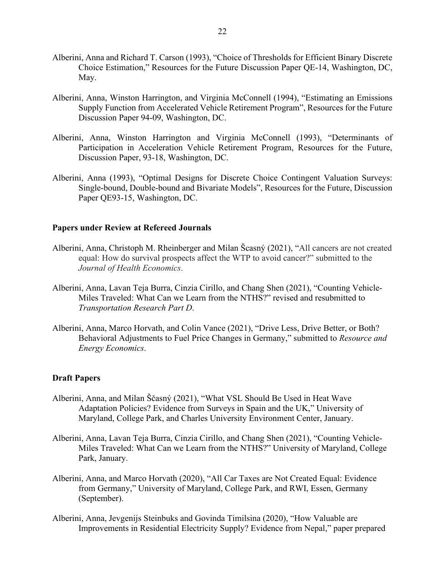- Alberini, Anna and Richard T. Carson (1993), "Choice of Thresholds for Efficient Binary Discrete Choice Estimation," Resources for the Future Discussion Paper QE-14, Washington, DC, May.
- Alberini, Anna, Winston Harrington, and Virginia McConnell (1994), "Estimating an Emissions Supply Function from Accelerated Vehicle Retirement Program", Resources for the Future Discussion Paper 94-09, Washington, DC.
- Alberini, Anna, Winston Harrington and Virginia McConnell (1993), "Determinants of Participation in Acceleration Vehicle Retirement Program, Resources for the Future, Discussion Paper, 93-18, Washington, DC.
- Alberini, Anna (1993), "Optimal Designs for Discrete Choice Contingent Valuation Surveys: Single-bound, Double-bound and Bivariate Models", Resources for the Future, Discussion Paper QE93-15, Washington, DC.

#### **Papers under Review at Refereed Journals**

- Alberini, Anna, Christoph M. Rheinberger and Milan Šcasný (2021), "All cancers are not created equal: How do survival prospects affect the WTP to avoid cancer?" submitted to the *Journal of Health Economics*.
- Alberini, Anna, Lavan Teja Burra, Cinzia Cirillo, and Chang Shen (2021), "Counting Vehicle-Miles Traveled: What Can we Learn from the NTHS?" revised and resubmitted to *Transportation Research Part D*.
- Alberini, Anna, Marco Horvath, and Colin Vance (2021), "Drive Less, Drive Better, or Both? Behavioral Adjustments to Fuel Price Changes in Germany," submitted to *Resource and Energy Economics*.

#### **Draft Papers**

- Alberini, Anna, and Milan Ščasný (2021), "What VSL Should Be Used in Heat Wave Adaptation Policies? Evidence from Surveys in Spain and the UK," University of Maryland, College Park, and Charles University Environment Center, January.
- Alberini, Anna, Lavan Teja Burra, Cinzia Cirillo, and Chang Shen (2021), "Counting Vehicle-Miles Traveled: What Can we Learn from the NTHS?" University of Maryland, College Park, January.
- Alberini, Anna, and Marco Horvath (2020), "All Car Taxes are Not Created Equal: Evidence from Germany," University of Maryland, College Park, and RWI, Essen, Germany (September).
- Alberini, Anna, Jevgenijs Steinbuks and Govinda Timilsina (2020), "How Valuable are Improvements in Residential Electricity Supply? Evidence from Nepal," paper prepared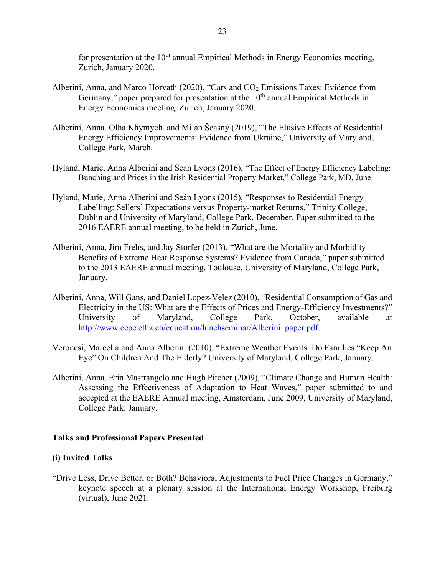for presentation at the  $10<sup>th</sup>$  annual Empirical Methods in Energy Economics meeting, Zurich, January 2020.

- Alberini, Anna, and Marco Horvath (2020), "Cars and  $CO<sub>2</sub>$  Emissions Taxes: Evidence from Germany," paper prepared for presentation at the  $10<sup>th</sup>$  annual Empirical Methods in Energy Economics meeting, Zurich, January 2020.
- Alberini, Anna, Olha Khymych, and Milan Šcasný (2019), "The Elusive Effects of Residential Energy Efficiency Improvements: Evidence from Ukraine," University of Maryland, College Park, March.
- Hyland, Marie, Anna Alberini and Sean Lyons (2016), "The Effect of Energy Efficiency Labeling: Bunching and Prices in the Irish Residential Property Market," College Park, MD, June.
- Hyland, Marie, Anna Alberini and Seán Lyons (2015), "Responses to Residential Energy Labelling: Sellers' Expectations versus Property-market Returns," Trinity College, Dublin and University of Maryland, College Park, December. Paper submitted to the 2016 EAERE annual meeting, to be held in Zurich, June.
- Alberini, Anna, Jim Frehs, and Jay Storfer (2013), "What are the Mortality and Morbidity Benefits of Extreme Heat Response Systems? Evidence from Canada," paper submitted to the 2013 EAERE annual meeting, Toulouse, University of Maryland, College Park, January.
- Alberini, Anna, Will Gans, and Daniel Lopez-Velez (2010), "Residential Consumption of Gas and Electricity in the US: What are the Effects of Prices and Energy-Efficiency Investments?" University of Maryland, College Park, October, available at [http://www.cepe.ethz.ch/education/lunchseminar/Alberini\\_paper.pdf.](http://www.cepe.ethz.ch/education/lunchseminar/Alberini_paper.pdf)
- Veronesi, Marcella and Anna Alberini (2010), "Extreme Weather Events: Do Families "Keep An Eye" On Children And The Elderly? University of Maryland, College Park, January.
- Alberini, Anna, Erin Mastrangelo and Hugh Pitcher (2009), "Climate Change and Human Health: Assessing the Effectiveness of Adaptation to Heat Waves," paper submitted to and accepted at the EAERE Annual meeting, Amsterdam, June 2009, University of Maryland, College Park: January.

#### **Talks and Professional Papers Presented**

#### **(i) Invited Talks**

"Drive Less, Drive Better, or Both? Behavioral Adjustments to Fuel Price Changes in Germany," keynote speech at a plenary session at the International Energy Workshop, Freiburg (virtual), June 2021.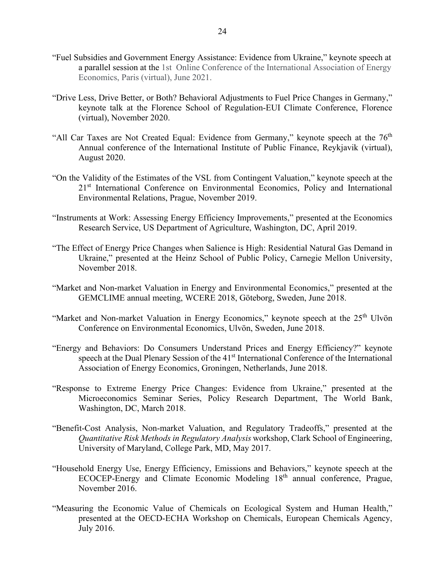- "Fuel Subsidies and Government Energy Assistance: Evidence from Ukraine," keynote speech at a parallel session at the 1st Online Conference of the International Association of Energy Economics, Paris (virtual), June 2021.
- "Drive Less, Drive Better, or Both? Behavioral Adjustments to Fuel Price Changes in Germany," keynote talk at the Florence School of Regulation-EUI Climate Conference, Florence (virtual), November 2020.
- "All Car Taxes are Not Created Equal: Evidence from Germany," keynote speech at the  $76<sup>th</sup>$ Annual conference of the International Institute of Public Finance, Reykjavik (virtual), August 2020.
- "On the Validity of the Estimates of the VSL from Contingent Valuation," keynote speech at the 21<sup>st</sup> International Conference on Environmental Economics, Policy and International Environmental Relations, Prague, November 2019.
- "Instruments at Work: Assessing Energy Efficiency Improvements," presented at the Economics Research Service, US Department of Agriculture, Washington, DC, April 2019.
- "The Effect of Energy Price Changes when Salience is High: Residential Natural Gas Demand in Ukraine," presented at the Heinz School of Public Policy, Carnegie Mellon University, November 2018.
- "Market and Non-market Valuation in Energy and Environmental Economics," presented at the GEMCLIME annual meeting, WCERE 2018, Göteborg, Sweden, June 2018.
- "Market and Non-market Valuation in Energy Economics," keynote speech at the  $25<sup>th</sup>$  Ulvön Conference on Environmental Economics, Ulvön, Sweden, June 2018.
- "Energy and Behaviors: Do Consumers Understand Prices and Energy Efficiency?" keynote speech at the Dual Plenary Session of the 41<sup>st</sup> International Conference of the International Association of Energy Economics, Groningen, Netherlands, June 2018.
- "Response to Extreme Energy Price Changes: Evidence from Ukraine," presented at the Microeconomics Seminar Series, Policy Research Department, The World Bank, Washington, DC, March 2018.
- "Benefit-Cost Analysis, Non-market Valuation, and Regulatory Tradeoffs," presented at the *Quantitative Risk Methods in Regulatory Analysis* workshop, Clark School of Engineering, University of Maryland, College Park, MD, May 2017.
- "Household Energy Use, Energy Efficiency, Emissions and Behaviors," keynote speech at the ECOCEP-Energy and Climate Economic Modeling 18<sup>th</sup> annual conference, Prague, November 2016.
- "Measuring the Economic Value of Chemicals on Ecological System and Human Health," presented at the OECD-ECHA Workshop on Chemicals, European Chemicals Agency, July 2016.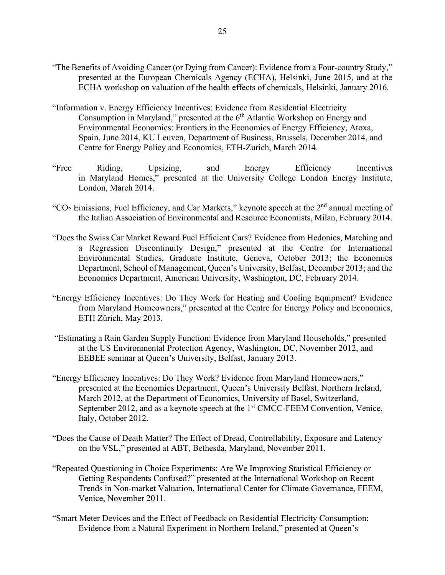- "The Benefits of Avoiding Cancer (or Dying from Cancer): Evidence from a Four-country Study," presented at the European Chemicals Agency (ECHA), Helsinki, June 2015, and at the ECHA workshop on valuation of the health effects of chemicals, Helsinki, January 2016.
- "Information v. Energy Efficiency Incentives: Evidence from Residential Electricity Consumption in Maryland," presented at the  $6<sup>th</sup>$  Atlantic Workshop on Energy and Environmental Economics: Frontiers in the Economics of Energy Efficiency, Atoxa, Spain, June 2014, KU Leuven, Department of Business, Brussels, December 2014, and Centre for Energy Policy and Economics, ETH-Zurich, March 2014.
- "Free Riding, Upsizing, and Energy Efficiency Incentives in Maryland Homes," presented at the University College London Energy Institute, London, March 2014.
- "CO<sub>2</sub> Emissions, Fuel Efficiency, and Car Markets," keynote speech at the  $2<sup>nd</sup>$  annual meeting of the Italian Association of Environmental and Resource Economists, Milan, February 2014.
- "Does the Swiss Car Market Reward Fuel Efficient Cars? Evidence from Hedonics, Matching and a Regression Discontinuity Design," presented at the Centre for International Environmental Studies, Graduate Institute, Geneva, October 2013; the Economics Department, School of Management, Queen's University, Belfast, December 2013; and the Economics Department, American University, Washington, DC, February 2014.
- "Energy Efficiency Incentives: Do They Work for Heating and Cooling Equipment? Evidence from Maryland Homeowners," presented at the Centre for Energy Policy and Economics, ETH Zürich, May 2013.
- "Estimating a Rain Garden Supply Function: Evidence from Maryland Households," presented at the US Environmental Protection Agency, Washington, DC, November 2012, and EEBEE seminar at Queen's University, Belfast, January 2013.
- "Energy Efficiency Incentives: Do They Work? Evidence from Maryland Homeowners," presented at the Economics Department, Queen's University Belfast, Northern Ireland, March 2012, at the Department of Economics, University of Basel, Switzerland, September 2012, and as a keynote speech at the 1<sup>st</sup> CMCC-FEEM Convention, Venice, Italy, October 2012.
- "Does the Cause of Death Matter? The Effect of Dread, Controllability, Exposure and Latency on the VSL," presented at ABT, Bethesda, Maryland, November 2011.
- "Repeated Questioning in Choice Experiments: Are We Improving Statistical Efficiency or Getting Respondents Confused?" presented at the International Workshop on Recent Trends in Non-market Valuation, International Center for Climate Governance, FEEM, Venice, November 2011.
- "Smart Meter Devices and the Effect of Feedback on Residential Electricity Consumption: Evidence from a Natural Experiment in Northern Ireland," presented at Queen's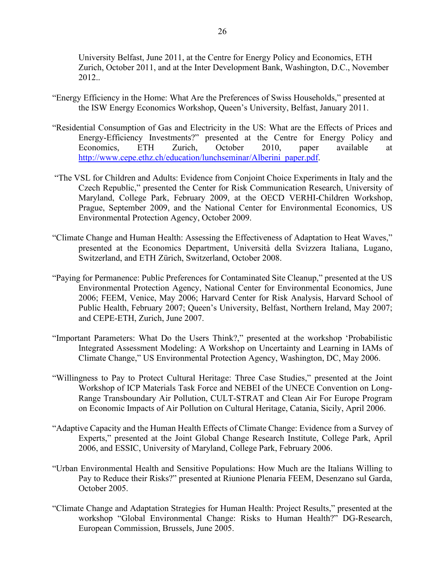University Belfast, June 2011, at the Centre for Energy Policy and Economics, ETH Zurich, October 2011, and at the Inter Development Bank, Washington, D.C., November 2012..

- "Energy Efficiency in the Home: What Are the Preferences of Swiss Households," presented at the ISW Energy Economics Workshop, Queen's University, Belfast, January 2011.
- "Residential Consumption of Gas and Electricity in the US: What are the Effects of Prices and Energy-Efficiency Investments?" presented at the Centre for Energy Policy and Economics, ETH Zurich, October 2010, paper available at [http://www.cepe.ethz.ch/education/lunchseminar/Alberini\\_paper.pdf.](http://www.cepe.ethz.ch/education/lunchseminar/Alberini_paper.pdf)
- "The VSL for Children and Adults: Evidence from Conjoint Choice Experiments in Italy and the Czech Republic," presented the Center for Risk Communication Research, University of Maryland, College Park, February 2009, at the OECD VERHI-Children Workshop, Prague, September 2009, and the National Center for Environmental Economics, US Environmental Protection Agency, October 2009.
- "Climate Change and Human Health: Assessing the Effectiveness of Adaptation to Heat Waves," presented at the Economics Department, Università della Svizzera Italiana, Lugano, Switzerland, and ETH Zürich, Switzerland, October 2008.
- "Paying for Permanence: Public Preferences for Contaminated Site Cleanup," presented at the US Environmental Protection Agency, National Center for Environmental Economics, June 2006; FEEM, Venice, May 2006; Harvard Center for Risk Analysis, Harvard School of Public Health, February 2007; Queen's University, Belfast, Northern Ireland, May 2007; and CEPE-ETH, Zurich, June 2007.
- "Important Parameters: What Do the Users Think?," presented at the workshop 'Probabilistic Integrated Assessment Modeling: A Workshop on Uncertainty and Learning in IAMs of Climate Change," US Environmental Protection Agency, Washington, DC, May 2006.
- "Willingness to Pay to Protect Cultural Heritage: Three Case Studies," presented at the Joint Workshop of ICP Materials Task Force and NEBEI of the UNECE Convention on Long-Range Transboundary Air Pollution, CULT-STRAT and Clean Air For Europe Program on Economic Impacts of Air Pollution on Cultural Heritage, Catania, Sicily, April 2006.
- "Adaptive Capacity and the Human Health Effects of Climate Change: Evidence from a Survey of Experts," presented at the Joint Global Change Research Institute, College Park, April 2006, and ESSIC, University of Maryland, College Park, February 2006.
- "Urban Environmental Health and Sensitive Populations: How Much are the Italians Willing to Pay to Reduce their Risks?" presented at Riunione Plenaria FEEM, Desenzano sul Garda, October 2005.
- "Climate Change and Adaptation Strategies for Human Health: Project Results," presented at the workshop "Global Environmental Change: Risks to Human Health?" DG-Research, European Commission, Brussels, June 2005.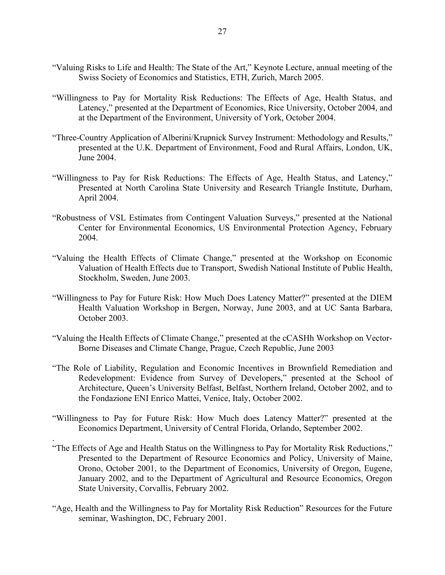- "Valuing Risks to Life and Health: The State of the Art," Keynote Lecture, annual meeting of the Swiss Society of Economics and Statistics, ETH, Zurich, March 2005.
- "Willingness to Pay for Mortality Risk Reductions: The Effects of Age, Health Status, and Latency," presented at the Department of Economics, Rice University, October 2004, and at the Department of the Environment, University of York, October 2004.
- "Three-Country Application of Alberini/Krupnick Survey Instrument: Methodology and Results," presented at the U.K. Department of Environment, Food and Rural Affairs, London, UK, June 2004.
- "Willingness to Pay for Risk Reductions: The Effects of Age, Health Status, and Latency," Presented at North Carolina State University and Research Triangle Institute, Durham, April 2004.
- "Robustness of VSL Estimates from Contingent Valuation Surveys," presented at the National Center for Environmental Economics, US Environmental Protection Agency, February 2004.
- "Valuing the Health Effects of Climate Change," presented at the Workshop on Economic Valuation of Health Effects due to Transport, Swedish National Institute of Public Health, Stockholm, Sweden, June 2003.
- "Willingness to Pay for Future Risk: How Much Does Latency Matter?" presented at the DIEM Health Valuation Workshop in Bergen, Norway, June 2003, and at UC Santa Barbara, October 2003.
- "Valuing the Health Effects of Climate Change," presented at the cCASHh Workshop on Vector-Borne Diseases and Climate Change, Prague, Czech Republic, June 2003
- "The Role of Liability, Regulation and Economic Incentives in Brownfield Remediation and Redevelopment: Evidence from Survey of Developers," presented at the School of Architecture, Queen's University Belfast, Belfast, Northern Ireland, October 2002, and to the Fondazione ENI Enrico Mattei, Venice, Italy, October 2002.
- "Willingness to Pay for Future Risk: How Much does Latency Matter?" presented at the Economics Department, University of Central Florida, Orlando, September 2002.

.

- "The Effects of Age and Health Status on the Willingness to Pay for Mortality Risk Reductions," Presented to the Department of Resource Economics and Policy, University of Maine, Orono, October 2001, to the Department of Economics, University of Oregon, Eugene, January 2002, and to the Department of Agricultural and Resource Economics, Oregon State University, Corvallis, February 2002.
- "Age, Health and the Willingness to Pay for Mortality Risk Reduction" Resources for the Future seminar, Washington, DC, February 2001.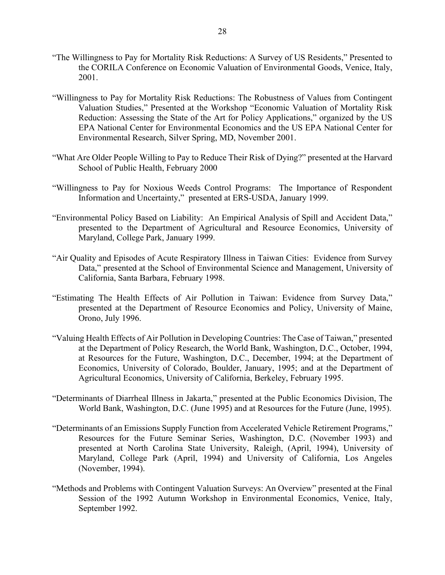- "The Willingness to Pay for Mortality Risk Reductions: A Survey of US Residents," Presented to the CORILA Conference on Economic Valuation of Environmental Goods, Venice, Italy, 2001.
- "Willingness to Pay for Mortality Risk Reductions: The Robustness of Values from Contingent Valuation Studies," Presented at the Workshop "Economic Valuation of Mortality Risk Reduction: Assessing the State of the Art for Policy Applications," organized by the US EPA National Center for Environmental Economics and the US EPA National Center for Environmental Research, Silver Spring, MD, November 2001.
- "What Are Older People Willing to Pay to Reduce Their Risk of Dying?" presented at the Harvard School of Public Health, February 2000
- "Willingness to Pay for Noxious Weeds Control Programs: The Importance of Respondent Information and Uncertainty," presented at ERS-USDA, January 1999.
- "Environmental Policy Based on Liability: An Empirical Analysis of Spill and Accident Data," presented to the Department of Agricultural and Resource Economics, University of Maryland, College Park, January 1999.
- "Air Quality and Episodes of Acute Respiratory Illness in Taiwan Cities: Evidence from Survey Data," presented at the School of Environmental Science and Management, University of California, Santa Barbara, February 1998.
- "Estimating The Health Effects of Air Pollution in Taiwan: Evidence from Survey Data," presented at the Department of Resource Economics and Policy, University of Maine, Orono, July 1996.
- "Valuing Health Effects of Air Pollution in Developing Countries: The Case of Taiwan," presented at the Department of Policy Research, the World Bank, Washington, D.C., October, 1994, at Resources for the Future, Washington, D.C., December, 1994; at the Department of Economics, University of Colorado, Boulder, January, 1995; and at the Department of Agricultural Economics, University of California, Berkeley, February 1995.
- "Determinants of Diarrheal Illness in Jakarta," presented at the Public Economics Division, The World Bank, Washington, D.C. (June 1995) and at Resources for the Future (June, 1995).
- "Determinants of an Emissions Supply Function from Accelerated Vehicle Retirement Programs," Resources for the Future Seminar Series, Washington, D.C. (November 1993) and presented at North Carolina State University, Raleigh, (April, 1994), University of Maryland, College Park (April, 1994) and University of California, Los Angeles (November, 1994).
- "Methods and Problems with Contingent Valuation Surveys: An Overview" presented at the Final Session of the 1992 Autumn Workshop in Environmental Economics, Venice, Italy, September 1992.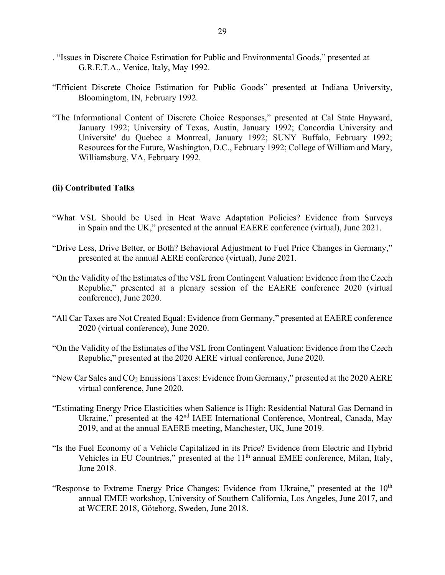- . "Issues in Discrete Choice Estimation for Public and Environmental Goods," presented at G.R.E.T.A., Venice, Italy, May 1992.
- "Efficient Discrete Choice Estimation for Public Goods" presented at Indiana University, Bloomingtom, IN, February 1992.
- "The Informational Content of Discrete Choice Responses," presented at Cal State Hayward, January 1992; University of Texas, Austin, January 1992; Concordia University and Universite' du Quebec a Montreal, January 1992; SUNY Buffalo, February 1992; Resources for the Future, Washington, D.C., February 1992; College of William and Mary, Williamsburg, VA, February 1992.

#### **(ii) Contributed Talks**

- "What VSL Should be Used in Heat Wave Adaptation Policies? Evidence from Surveys in Spain and the UK," presented at the annual EAERE conference (virtual), June 2021.
- "Drive Less, Drive Better, or Both? Behavioral Adjustment to Fuel Price Changes in Germany," presented at the annual AERE conference (virtual), June 2021.
- "On the Validity of the Estimates of the VSL from Contingent Valuation: Evidence from the Czech Republic," presented at a plenary session of the EAERE conference 2020 (virtual conference), June 2020.
- "All Car Taxes are Not Created Equal: Evidence from Germany," presented at EAERE conference 2020 (virtual conference), June 2020.
- "On the Validity of the Estimates of the VSL from Contingent Valuation: Evidence from the Czech Republic," presented at the 2020 AERE virtual conference, June 2020.
- "New Car Sales and  $CO<sub>2</sub>$  Emissions Taxes: Evidence from Germany," presented at the 2020 AERE virtual conference, June 2020.
- "Estimating Energy Price Elasticities when Salience is High: Residential Natural Gas Demand in Ukraine," presented at the 42<sup>nd</sup> IAEE International Conference, Montreal, Canada, May 2019, and at the annual EAERE meeting, Manchester, UK, June 2019.
- "Is the Fuel Economy of a Vehicle Capitalized in its Price? Evidence from Electric and Hybrid Vehicles in EU Countries," presented at the 11<sup>th</sup> annual EMEE conference, Milan, Italy, June 2018.
- "Response to Extreme Energy Price Changes: Evidence from Ukraine," presented at the 10<sup>th</sup> annual EMEE workshop, University of Southern California, Los Angeles, June 2017, and at WCERE 2018, Göteborg, Sweden, June 2018.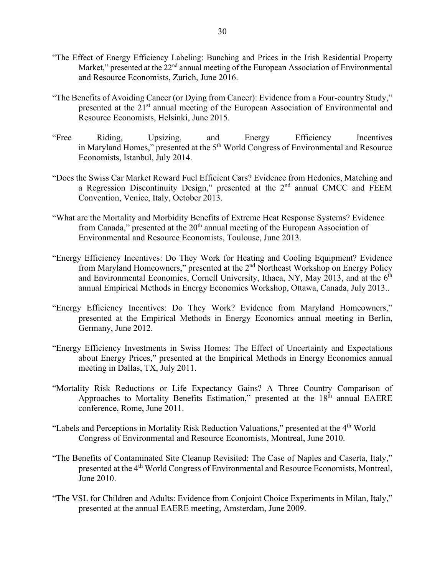- "The Effect of Energy Efficiency Labeling: Bunching and Prices in the Irish Residential Property Market," presented at the 22<sup>nd</sup> annual meeting of the European Association of Environmental and Resource Economists, Zurich, June 2016.
- "The Benefits of Avoiding Cancer (or Dying from Cancer): Evidence from a Four-country Study," presented at the 21<sup>st</sup> annual meeting of the European Association of Environmental and Resource Economists, Helsinki, June 2015.
- "Free Riding, Upsizing, and Energy Efficiency Incentives in Maryland Homes," presented at the 5<sup>th</sup> World Congress of Environmental and Resource Economists, Istanbul, July 2014.
- "Does the Swiss Car Market Reward Fuel Efficient Cars? Evidence from Hedonics, Matching and a Regression Discontinuity Design," presented at the 2nd annual CMCC and FEEM Convention, Venice, Italy, October 2013.
- "What are the Mortality and Morbidity Benefits of Extreme Heat Response Systems? Evidence from Canada," presented at the  $20<sup>th</sup>$  annual meeting of the European Association of Environmental and Resource Economists, Toulouse, June 2013.
- "Energy Efficiency Incentives: Do They Work for Heating and Cooling Equipment? Evidence from Maryland Homeowners," presented at the 2<sup>nd</sup> Northeast Workshop on Energy Policy and Environmental Economics, Cornell University, Ithaca, NY, May 2013, and at the  $6<sup>th</sup>$ annual Empirical Methods in Energy Economics Workshop, Ottawa, Canada, July 2013..
- "Energy Efficiency Incentives: Do They Work? Evidence from Maryland Homeowners," presented at the Empirical Methods in Energy Economics annual meeting in Berlin, Germany, June 2012.
- "Energy Efficiency Investments in Swiss Homes: The Effect of Uncertainty and Expectations about Energy Prices," presented at the Empirical Methods in Energy Economics annual meeting in Dallas, TX, July 2011.
- "Mortality Risk Reductions or Life Expectancy Gains? A Three Country Comparison of Approaches to Mortality Benefits Estimation," presented at the 18<sup>th</sup> annual EAERE conference, Rome, June 2011.
- "Labels and Perceptions in Mortality Risk Reduction Valuations," presented at the 4<sup>th</sup> World Congress of Environmental and Resource Economists, Montreal, June 2010.
- "The Benefits of Contaminated Site Cleanup Revisited: The Case of Naples and Caserta, Italy," presented at the 4<sup>th</sup> World Congress of Environmental and Resource Economists, Montreal, June 2010.
- "The VSL for Children and Adults: Evidence from Conjoint Choice Experiments in Milan, Italy," presented at the annual EAERE meeting, Amsterdam, June 2009.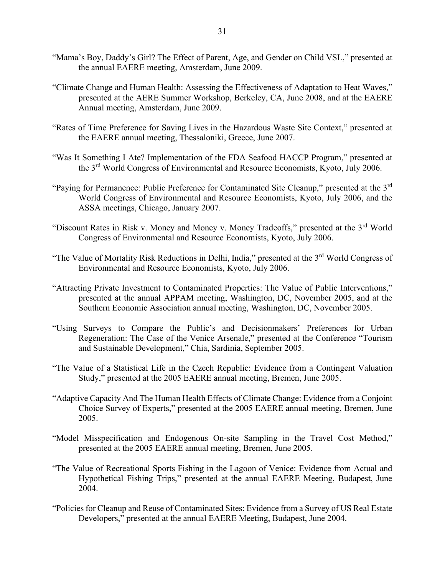- "Mama's Boy, Daddy's Girl? The Effect of Parent, Age, and Gender on Child VSL," presented at the annual EAERE meeting, Amsterdam, June 2009.
- "Climate Change and Human Health: Assessing the Effectiveness of Adaptation to Heat Waves," presented at the AERE Summer Workshop, Berkeley, CA, June 2008, and at the EAERE Annual meeting, Amsterdam, June 2009.
- "Rates of Time Preference for Saving Lives in the Hazardous Waste Site Context," presented at the EAERE annual meeting, Thessaloniki, Greece, June 2007.
- "Was It Something I Ate? Implementation of the FDA Seafood HACCP Program," presented at the 3<sup>rd</sup> World Congress of Environmental and Resource Economists, Kyoto, July 2006.
- "Paying for Permanence: Public Preference for Contaminated Site Cleanup," presented at the 3<sup>rd</sup> World Congress of Environmental and Resource Economists, Kyoto, July 2006, and the ASSA meetings, Chicago, January 2007.
- "Discount Rates in Risk v. Money and Money v. Money Tradeoffs," presented at the 3<sup>rd</sup> World Congress of Environmental and Resource Economists, Kyoto, July 2006.
- "The Value of Mortality Risk Reductions in Delhi, India," presented at the 3<sup>rd</sup> World Congress of Environmental and Resource Economists, Kyoto, July 2006.
- "Attracting Private Investment to Contaminated Properties: The Value of Public Interventions," presented at the annual APPAM meeting, Washington, DC, November 2005, and at the Southern Economic Association annual meeting, Washington, DC, November 2005.
- "Using Surveys to Compare the Public's and Decisionmakers' Preferences for Urban Regeneration: The Case of the Venice Arsenale," presented at the Conference "Tourism and Sustainable Development," Chia, Sardinia, September 2005.
- "The Value of a Statistical Life in the Czech Republic: Evidence from a Contingent Valuation Study," presented at the 2005 EAERE annual meeting, Bremen, June 2005.
- "Adaptive Capacity And The Human Health Effects of Climate Change: Evidence from a Conjoint Choice Survey of Experts," presented at the 2005 EAERE annual meeting, Bremen, June 2005.
- "Model Misspecification and Endogenous On-site Sampling in the Travel Cost Method," presented at the 2005 EAERE annual meeting, Bremen, June 2005.
- "The Value of Recreational Sports Fishing in the Lagoon of Venice: Evidence from Actual and Hypothetical Fishing Trips," presented at the annual EAERE Meeting, Budapest, June 2004.
- "Policies for Cleanup and Reuse of Contaminated Sites: Evidence from a Survey of US Real Estate Developers," presented at the annual EAERE Meeting, Budapest, June 2004.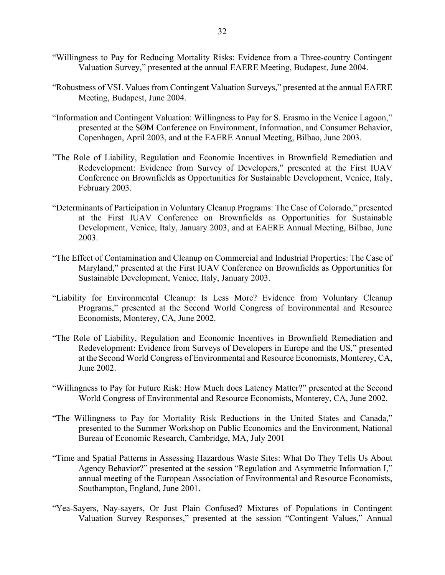- "Willingness to Pay for Reducing Mortality Risks: Evidence from a Three-country Contingent Valuation Survey," presented at the annual EAERE Meeting, Budapest, June 2004.
- "Robustness of VSL Values from Contingent Valuation Surveys," presented at the annual EAERE Meeting, Budapest, June 2004.
- "Information and Contingent Valuation: Willingness to Pay for S. Erasmo in the Venice Lagoon," presented at the SØM Conference on Environment, Information, and Consumer Behavior, Copenhagen, April 2003, and at the EAERE Annual Meeting, Bilbao, June 2003.
- "The Role of Liability, Regulation and Economic Incentives in Brownfield Remediation and Redevelopment: Evidence from Survey of Developers," presented at the First IUAV Conference on Brownfields as Opportunities for Sustainable Development, Venice, Italy, February 2003.
- "Determinants of Participation in Voluntary Cleanup Programs: The Case of Colorado," presented at the First IUAV Conference on Brownfields as Opportunities for Sustainable Development, Venice, Italy, January 2003, and at EAERE Annual Meeting, Bilbao, June 2003.
- "The Effect of Contamination and Cleanup on Commercial and Industrial Properties: The Case of Maryland," presented at the First IUAV Conference on Brownfields as Opportunities for Sustainable Development, Venice, Italy, January 2003.
- "Liability for Environmental Cleanup: Is Less More? Evidence from Voluntary Cleanup Programs," presented at the Second World Congress of Environmental and Resource Economists, Monterey, CA, June 2002.
- "The Role of Liability, Regulation and Economic Incentives in Brownfield Remediation and Redevelopment: Evidence from Surveys of Developers in Europe and the US," presented at the Second World Congress of Environmental and Resource Economists, Monterey, CA, June 2002.
- "Willingness to Pay for Future Risk: How Much does Latency Matter?" presented at the Second World Congress of Environmental and Resource Economists, Monterey, CA, June 2002.
- "The Willingness to Pay for Mortality Risk Reductions in the United States and Canada," presented to the Summer Workshop on Public Economics and the Environment, National Bureau of Economic Research, Cambridge, MA, July 2001
- "Time and Spatial Patterns in Assessing Hazardous Waste Sites: What Do They Tells Us About Agency Behavior?" presented at the session "Regulation and Asymmetric Information I," annual meeting of the European Association of Environmental and Resource Economists, Southampton, England, June 2001.
- "Yea-Sayers, Nay-sayers, Or Just Plain Confused? Mixtures of Populations in Contingent Valuation Survey Responses," presented at the session "Contingent Values," Annual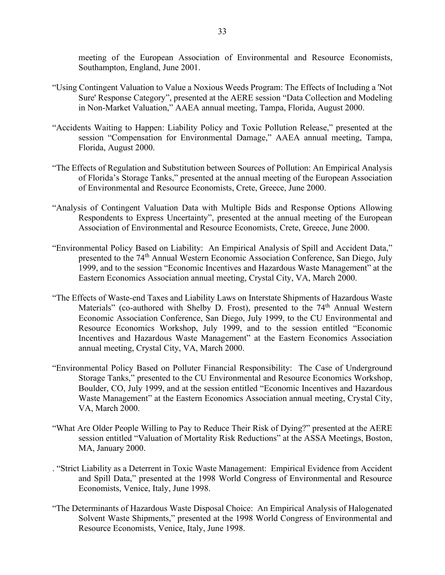meeting of the European Association of Environmental and Resource Economists, Southampton, England, June 2001.

- "Using Contingent Valuation to Value a Noxious Weeds Program: The Effects of Including a 'Not Sure' Response Category", presented at the AERE session "Data Collection and Modeling in Non-Market Valuation," AAEA annual meeting, Tampa, Florida, August 2000.
- "Accidents Waiting to Happen: Liability Policy and Toxic Pollution Release," presented at the session "Compensation for Environmental Damage," AAEA annual meeting, Tampa, Florida, August 2000.
- "The Effects of Regulation and Substitution between Sources of Pollution: An Empirical Analysis of Florida's Storage Tanks," presented at the annual meeting of the European Association of Environmental and Resource Economists, Crete, Greece, June 2000.
- "Analysis of Contingent Valuation Data with Multiple Bids and Response Options Allowing Respondents to Express Uncertainty", presented at the annual meeting of the European Association of Environmental and Resource Economists, Crete, Greece, June 2000.
- "Environmental Policy Based on Liability: An Empirical Analysis of Spill and Accident Data," presented to the 74<sup>th</sup> Annual Western Economic Association Conference, San Diego, July 1999, and to the session "Economic Incentives and Hazardous Waste Management" at the Eastern Economics Association annual meeting, Crystal City, VA, March 2000.
- "The Effects of Waste-end Taxes and Liability Laws on Interstate Shipments of Hazardous Waste Materials" (co-authored with Shelby D. Frost), presented to the 74<sup>th</sup> Annual Western Economic Association Conference, San Diego, July 1999, to the CU Environmental and Resource Economics Workshop, July 1999, and to the session entitled "Economic Incentives and Hazardous Waste Management" at the Eastern Economics Association annual meeting, Crystal City, VA, March 2000.
- "Environmental Policy Based on Polluter Financial Responsibility: The Case of Underground Storage Tanks," presented to the CU Environmental and Resource Economics Workshop, Boulder, CO, July 1999, and at the session entitled "Economic Incentives and Hazardous Waste Management" at the Eastern Economics Association annual meeting, Crystal City, VA, March 2000.
- "What Are Older People Willing to Pay to Reduce Their Risk of Dying?" presented at the AERE session entitled "Valuation of Mortality Risk Reductions" at the ASSA Meetings, Boston, MA, January 2000.
- . "Strict Liability as a Deterrent in Toxic Waste Management: Empirical Evidence from Accident and Spill Data," presented at the 1998 World Congress of Environmental and Resource Economists, Venice, Italy, June 1998.
- "The Determinants of Hazardous Waste Disposal Choice: An Empirical Analysis of Halogenated Solvent Waste Shipments," presented at the 1998 World Congress of Environmental and Resource Economists, Venice, Italy, June 1998.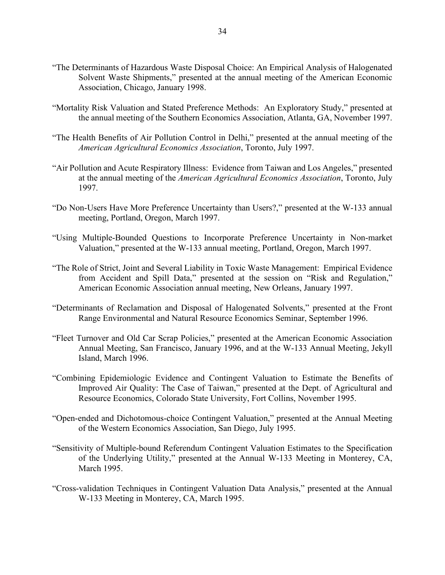- "The Determinants of Hazardous Waste Disposal Choice: An Empirical Analysis of Halogenated Solvent Waste Shipments," presented at the annual meeting of the American Economic Association, Chicago, January 1998.
- "Mortality Risk Valuation and Stated Preference Methods: An Exploratory Study," presented at the annual meeting of the Southern Economics Association, Atlanta, GA, November 1997.
- "The Health Benefits of Air Pollution Control in Delhi," presented at the annual meeting of the *American Agricultural Economics Association*, Toronto, July 1997.
- "Air Pollution and Acute Respiratory Illness: Evidence from Taiwan and Los Angeles," presented at the annual meeting of the *American Agricultural Economics Association*, Toronto, July 1997.
- "Do Non-Users Have More Preference Uncertainty than Users?," presented at the W-133 annual meeting, Portland, Oregon, March 1997.
- "Using Multiple-Bounded Questions to Incorporate Preference Uncertainty in Non-market Valuation," presented at the W-133 annual meeting, Portland, Oregon, March 1997.
- "The Role of Strict, Joint and Several Liability in Toxic Waste Management: Empirical Evidence from Accident and Spill Data," presented at the session on "Risk and Regulation," American Economic Association annual meeting, New Orleans, January 1997.
- "Determinants of Reclamation and Disposal of Halogenated Solvents," presented at the Front Range Environmental and Natural Resource Economics Seminar, September 1996.
- "Fleet Turnover and Old Car Scrap Policies," presented at the American Economic Association Annual Meeting, San Francisco, January 1996, and at the W-133 Annual Meeting, Jekyll Island, March 1996.
- "Combining Epidemiologic Evidence and Contingent Valuation to Estimate the Benefits of Improved Air Quality: The Case of Taiwan," presented at the Dept. of Agricultural and Resource Economics, Colorado State University, Fort Collins, November 1995.
- "Open-ended and Dichotomous-choice Contingent Valuation," presented at the Annual Meeting of the Western Economics Association, San Diego, July 1995.
- "Sensitivity of Multiple-bound Referendum Contingent Valuation Estimates to the Specification of the Underlying Utility," presented at the Annual W-133 Meeting in Monterey, CA, March 1995.
- "Cross-validation Techniques in Contingent Valuation Data Analysis," presented at the Annual W-133 Meeting in Monterey, CA, March 1995.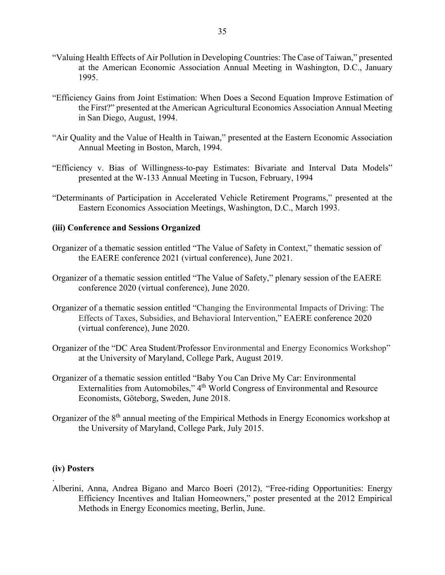- "Valuing Health Effects of Air Pollution in Developing Countries: The Case of Taiwan," presented at the American Economic Association Annual Meeting in Washington, D.C., January 1995.
- "Efficiency Gains from Joint Estimation: When Does a Second Equation Improve Estimation of the First?" presented at the American Agricultural Economics Association Annual Meeting in San Diego, August, 1994.
- "Air Quality and the Value of Health in Taiwan," presented at the Eastern Economic Association Annual Meeting in Boston, March, 1994.
- "Efficiency v. Bias of Willingness-to-pay Estimates: Bivariate and Interval Data Models" presented at the W-133 Annual Meeting in Tucson, February, 1994
- "Determinants of Participation in Accelerated Vehicle Retirement Programs," presented at the Eastern Economics Association Meetings, Washington, D.C., March 1993.

#### **(iii) Conference and Sessions Organized**

- Organizer of a thematic session entitled "The Value of Safety in Context," thematic session of the EAERE conference 2021 (virtual conference), June 2021.
- Organizer of a thematic session entitled "The Value of Safety," plenary session of the EAERE conference 2020 (virtual conference), June 2020.
- Organizer of a thematic session entitled "Changing the Environmental Impacts of Driving: The Effects of Taxes, Subsidies, and Behavioral Intervention," EAERE conference 2020 (virtual conference), June 2020.
- Organizer of the "DC Area Student/Professor Environmental and Energy Economics Workshop" at the University of Maryland, College Park, August 2019.
- Organizer of a thematic session entitled "Baby You Can Drive My Car: Environmental Externalities from Automobiles," 4<sup>th</sup> World Congress of Environmental and Resource Economists, Göteborg, Sweden, June 2018.
- Organizer of the 8th annual meeting of the Empirical Methods in Energy Economics workshop at the University of Maryland, College Park, July 2015.

#### **(iv) Posters**

.

Alberini, Anna, Andrea Bigano and Marco Boeri (2012), "Free-riding Opportunities: Energy Efficiency Incentives and Italian Homeowners," poster presented at the 2012 Empirical Methods in Energy Economics meeting, Berlin, June.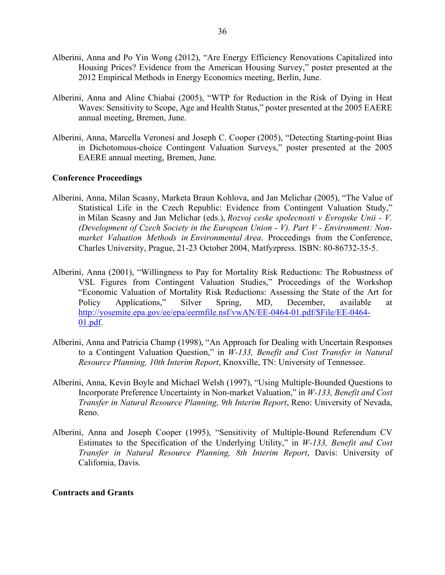- Alberini, Anna and Po Yin Wong (2012), "Are Energy Efficiency Renovations Capitalized into Housing Prices? Evidence from the American Housing Survey," poster presented at the 2012 Empirical Methods in Energy Economics meeting, Berlin, June.
- Alberini, Anna and Aline Chiabai (2005), "WTP for Reduction in the Risk of Dying in Heat Waves: Sensitivity to Scope, Age and Health Status," poster presented at the 2005 EAERE annual meeting, Bremen, June.
- Alberini, Anna, Marcella Veronesi and Joseph C. Cooper (2005), "Detecting Starting-point Bias in Dichotomous-choice Contingent Valuation Surveys," poster presented at the 2005 EAERE annual meeting, Bremen, June.

#### **Conference Proceedings**

- Alberini, Anna, Milan Scasny, Marketa Braun Kohlova, and Jan Melichar (2005), "The Value of Statistical Life in the Czech Republic: Evidence from Contingent Valuation Study," in Milan Scasny and Jan Melichar (eds.), *Rozvoj ceske spolecnosti v Evropske Unii - V. (Development of Czech Society in the European Union - V). Part V - Environment: Nonmarket Valuation Methods in Environmental Area*. Proceedings from the Conference, Charles University, Prague, 21-23 October 2004, Matfyzpress. ISBN: 80-86732-35-5.
- Alberini, Anna (2001), "Willingness to Pay for Mortality Risk Reductions: The Robustness of VSL Figures from Contingent Valuation Studies," Proceedings of the Workshop "Economic Valuation of Mortality Risk Reductions: Assessing the State of the Art for Policy Applications," Silver Spring, MD, December, available at [http://yosemite.epa.gov/ee/epa/eermfile.nsf/vwAN/EE-0464-01.pdf/\\$File/EE-0464-](http://yosemite.epa.gov/ee/epa/eermfile.nsf/vwAN/EE-0464-01.pdf/$File/EE-0464-01.pdf) [01.pdf.](http://yosemite.epa.gov/ee/epa/eermfile.nsf/vwAN/EE-0464-01.pdf/$File/EE-0464-01.pdf)
- Alberini, Anna and Patricia Champ (1998), "An Approach for Dealing with Uncertain Responses to a Contingent Valuation Question," in *W-133, Benefit and Cost Transfer in Natural Resource Planning, 10th Interim Report*, Knoxville, TN: University of Tennessee.
- Alberini, Anna, Kevin Boyle and Michael Welsh (1997), "Using Multiple-Bounded Questions to Incorporate Preference Uncertainty in Non-market Valuation," in *W-133, Benefit and Cost Transfer in Natural Resource Planning, 9th Interim Report*, Reno: University of Nevada, Reno.
- Alberini, Anna and Joseph Cooper (1995), "Sensitivity of Multiple-Bound Referendum CV Estimates to the Specification of the Underlying Utility," in *W-133, Benefit and Cost Transfer in Natural Resource Planning, 8th Interim Report*, Davis: University of California, Davis.

#### **Contracts and Grants**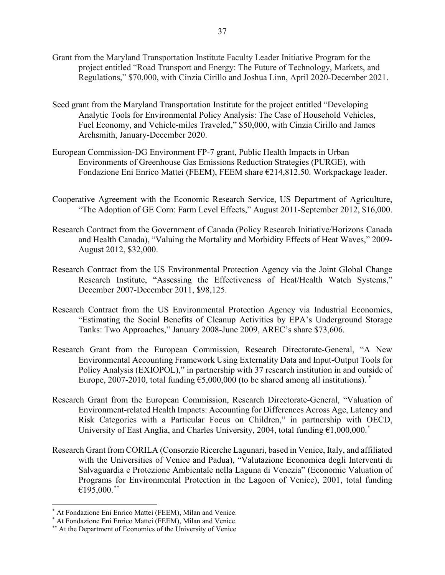- Grant from the Maryland Transportation Institute Faculty Leader Initiative Program for the project entitled "Road Transport and Energy: The Future of Technology, Markets, and Regulations," \$70,000, with Cinzia Cirillo and Joshua Linn, April 2020-December 2021.
- Seed grant from the Maryland Transportation Institute for the project entitled "Developing Analytic Tools for Environmental Policy Analysis: The Case of Household Vehicles, Fuel Economy, and Vehicle-miles Traveled," \$50,000, with Cinzia Cirillo and James Archsmith, January-December 2020.
- European Commission-DG Environment FP-7 grant, Public Health Impacts in Urban Environments of Greenhouse Gas Emissions Reduction Strategies (PURGE), with Fondazione Eni Enrico Mattei (FEEM), FEEM share €214,812.50. Workpackage leader.
- Cooperative Agreement with the Economic Research Service, US Department of Agriculture, "The Adoption of GE Corn: Farm Level Effects," August 2011-September 2012, \$16,000.
- Research Contract from the Government of Canada (Policy Research Initiative/Horizons Canada and Health Canada), "Valuing the Mortality and Morbidity Effects of Heat Waves," 2009- August 2012, \$32,000.
- Research Contract from the US Environmental Protection Agency via the Joint Global Change Research Institute, "Assessing the Effectiveness of Heat/Health Watch Systems," December 2007-December 2011, \$98,125.
- Research Contract from the US Environmental Protection Agency via Industrial Economics, "Estimating the Social Benefits of Cleanup Activities by EPA's Underground Storage Tanks: Two Approaches," January 2008-June 2009, AREC's share \$73,606.
- Research Grant from the European Commission, Research Directorate-General, "A New Environmental Accounting Framework Using Externality Data and Input-Output Tools for Policy Analysis (EXIOPOL)," in partnership with 37 research institution in and outside of Europe, 2007-2010, total funding  $65,000,000$  (to be shared among all institutions).
- Research Grant from the European Commission, Research Directorate-General, "Valuation of Environment-related Health Impacts: Accounting for Differences Across Age, Latency and Risk Categories with a Particular Focus on Children," in partnership with OECD, University of East Anglia, and Charles University, 2004, total funding  $61,000,000$ .
- Research Grant from CORILA (Consorzio Ricerche Lagunari, based in Venice, Italy, and affiliated with the Universities of Venice and Padua), "Valutazione Economica degli Interventi di Salvaguardia e Protezione Ambientale nella Laguna di Venezia" (Economic Valuation of Programs for Environmental Protection in the Lagoon of Venice), 2001, total funding  $€195,000.$ [\\*\\*](#page-36-2)

At Fondazione Eni Enrico Mattei (FEEM), Milan and Venice.

<span id="page-36-1"></span><span id="page-36-0"></span><sup>\*</sup> At Fondazione Eni Enrico Mattei (FEEM), Milan and Venice.

<span id="page-36-2"></span><sup>\*\*</sup> At the Department of Economics of the University of Venice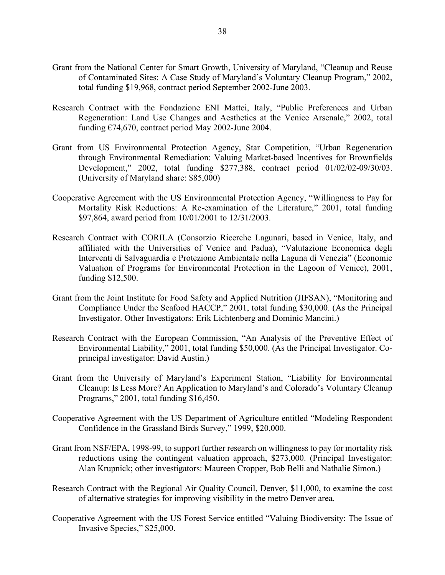- Grant from the National Center for Smart Growth, University of Maryland, "Cleanup and Reuse of Contaminated Sites: A Case Study of Maryland's Voluntary Cleanup Program," 2002, total funding \$19,968, contract period September 2002-June 2003.
- Research Contract with the Fondazione ENI Mattei, Italy, "Public Preferences and Urban Regeneration: Land Use Changes and Aesthetics at the Venice Arsenale," 2002, total funding  $\epsilon$ 74,670, contract period May 2002-June 2004.
- Grant from US Environmental Protection Agency, Star Competition, "Urban Regeneration through Environmental Remediation: Valuing Market-based Incentives for Brownfields Development," 2002, total funding \$277,388, contract period 01/02/02-09/30/03. (University of Maryland share: \$85,000)
- Cooperative Agreement with the US Environmental Protection Agency, "Willingness to Pay for Mortality Risk Reductions: A Re-examination of the Literature," 2001, total funding \$97,864, award period from 10/01/2001 to 12/31/2003.
- Research Contract with CORILA (Consorzio Ricerche Lagunari, based in Venice, Italy, and affiliated with the Universities of Venice and Padua), "Valutazione Economica degli Interventi di Salvaguardia e Protezione Ambientale nella Laguna di Venezia" (Economic Valuation of Programs for Environmental Protection in the Lagoon of Venice), 2001, funding \$12,500.
- Grant from the Joint Institute for Food Safety and Applied Nutrition (JIFSAN), "Monitoring and Compliance Under the Seafood HACCP," 2001, total funding \$30,000. (As the Principal Investigator. Other Investigators: Erik Lichtenberg and Dominic Mancini.)
- Research Contract with the European Commission, "An Analysis of the Preventive Effect of Environmental Liability," 2001, total funding \$50,000. (As the Principal Investigator. Coprincipal investigator: David Austin.)
- Grant from the University of Maryland's Experiment Station, "Liability for Environmental Cleanup: Is Less More? An Application to Maryland's and Colorado's Voluntary Cleanup Programs," 2001, total funding \$16,450.
- Cooperative Agreement with the US Department of Agriculture entitled "Modeling Respondent Confidence in the Grassland Birds Survey," 1999, \$20,000.
- Grant from NSF/EPA, 1998-99, to support further research on willingness to pay for mortality risk reductions using the contingent valuation approach, \$273,000. (Principal Investigator: Alan Krupnick; other investigators: Maureen Cropper, Bob Belli and Nathalie Simon.)
- Research Contract with the Regional Air Quality Council, Denver, \$11,000, to examine the cost of alternative strategies for improving visibility in the metro Denver area.
- Cooperative Agreement with the US Forest Service entitled "Valuing Biodiversity: The Issue of Invasive Species," \$25,000.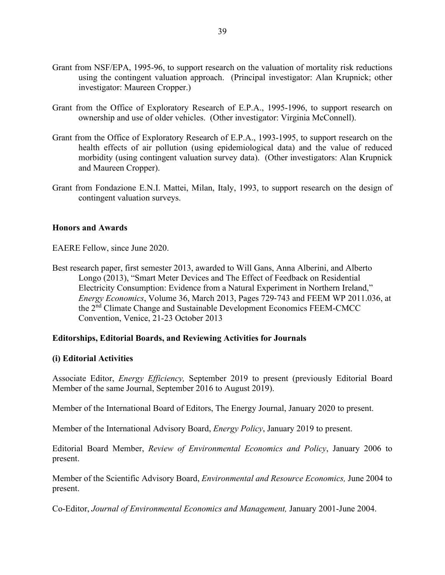- Grant from NSF/EPA, 1995-96, to support research on the valuation of mortality risk reductions using the contingent valuation approach. (Principal investigator: Alan Krupnick; other investigator: Maureen Cropper.)
- Grant from the Office of Exploratory Research of E.P.A., 1995-1996, to support research on ownership and use of older vehicles. (Other investigator: Virginia McConnell).
- Grant from the Office of Exploratory Research of E.P.A., 1993-1995, to support research on the health effects of air pollution (using epidemiological data) and the value of reduced morbidity (using contingent valuation survey data). (Other investigators: Alan Krupnick and Maureen Cropper).
- Grant from Fondazione E.N.I. Mattei, Milan, Italy, 1993, to support research on the design of contingent valuation surveys.

#### **Honors and Awards**

EAERE Fellow, since June 2020.

Best research paper, first semester 2013, awarded to Will Gans, Anna Alberini, and Alberto Longo (2013), "Smart Meter Devices and The Effect of Feedback on Residential Electricity Consumption: Evidence from a Natural Experiment in Northern Ireland," *Energy Economics*, Volume 36, March 2013, Pages 729‐743 and FEEM WP 2011.036, at the 2<sup>nd</sup> Climate Change and Sustainable Development Economics FEEM-CMCC Convention, Venice, 21-23 October 2013

#### **Editorships, Editorial Boards, and Reviewing Activities for Journals**

#### **(i) Editorial Activities**

Associate Editor, *Energy Efficiency,* September 2019 to present (previously Editorial Board Member of the same Journal, September 2016 to August 2019).

Member of the International Board of Editors, The Energy Journal, January 2020 to present.

Member of the International Advisory Board, *Energy Policy*, January 2019 to present.

Editorial Board Member, *Review of Environmental Economics and Policy*, January 2006 to present.

Member of the Scientific Advisory Board, *Environmental and Resource Economics,* June 2004 to present.

Co-Editor, *Journal of Environmental Economics and Management,* January 2001-June 2004.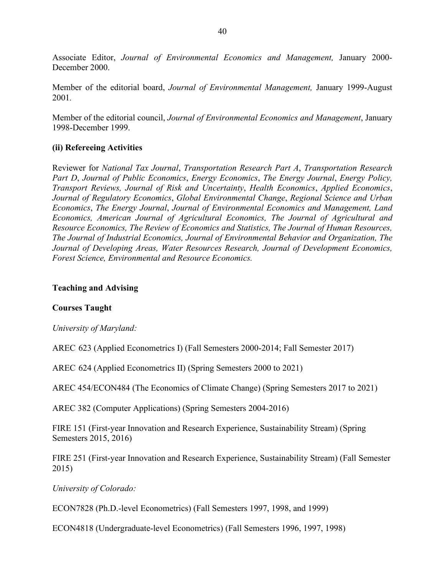Associate Editor, *Journal of Environmental Economics and Management,* January 2000- December 2000.

Member of the editorial board, *Journal of Environmental Management,* January 1999-August 2001*.*

Member of the editorial council, *Journal of Environmental Economics and Management*, January 1998-December 1999.

### **(ii) Refereeing Activities**

Reviewer for *National Tax Journal*, *Transportation Research Part A*, *Transportation Research Part D*, *Journal of Public Economics*, *Energy Economics*, *The Energy Journal*, *Energy Policy, Transport Reviews, Journal of Risk and Uncertainty*, *Health Economics*, *Applied Economics*, *Journal of Regulatory Economics*, *Global Environmental Change*, *Regional Science and Urban Economics*, *The Energy Journal*, *Journal of Environmental Economics and Management, Land Economics, American Journal of Agricultural Economics, The Journal of Agricultural and Resource Economics, The Review of Economics and Statistics, The Journal of Human Resources, The Journal of Industrial Economics, Journal of Environmental Behavior and Organization, The Journal of Developing Areas, Water Resources Research, Journal of Development Economics, Forest Science, Environmental and Resource Economics.*

### **Teaching and Advising**

### **Courses Taught**

*University of Maryland:*

AREC 623 (Applied Econometrics I) (Fall Semesters 2000-2014; Fall Semester 2017)

AREC 624 (Applied Econometrics II) (Spring Semesters 2000 to 2021)

AREC 454/ECON484 (The Economics of Climate Change) (Spring Semesters 2017 to 2021)

AREC 382 (Computer Applications) (Spring Semesters 2004-2016)

FIRE 151 (First-year Innovation and Research Experience, Sustainability Stream) (Spring Semesters 2015, 2016)

FIRE 251 (First-year Innovation and Research Experience, Sustainability Stream) (Fall Semester 2015)

*University of Colorado:*

ECON7828 (Ph.D.-level Econometrics) (Fall Semesters 1997, 1998, and 1999)

ECON4818 (Undergraduate-level Econometrics) (Fall Semesters 1996, 1997, 1998)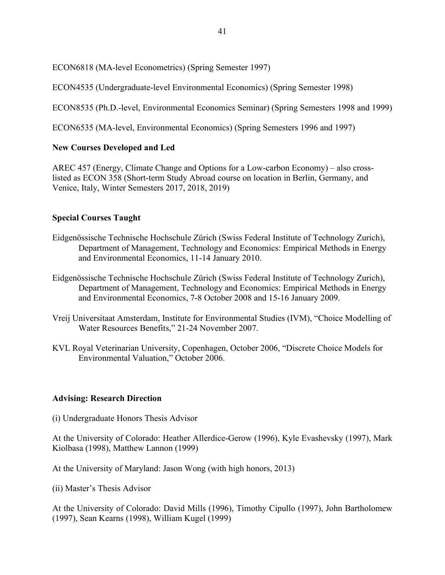ECON6818 (MA-level Econometrics) (Spring Semester 1997)

ECON4535 (Undergraduate-level Environmental Economics) (Spring Semester 1998)

ECON8535 (Ph.D.-level, Environmental Economics Seminar) (Spring Semesters 1998 and 1999)

ECON6535 (MA-level, Environmental Economics) (Spring Semesters 1996 and 1997)

## **New Courses Developed and Led**

AREC 457 (Energy, Climate Change and Options for a Low-carbon Economy) – also crosslisted as ECON 358 (Short-term Study Abroad course on location in Berlin, Germany, and Venice, Italy, Winter Semesters 2017, 2018, 2019)

# **Special Courses Taught**

- Eidgenössische Technische Hochschule Zürich (Swiss Federal Institute of Technology Zurich), Department of Management, Technology and Economics: Empirical Methods in Energy and Environmental Economics, 11-14 January 2010.
- Eidgenössische Technische Hochschule Zürich (Swiss Federal Institute of Technology Zurich), Department of Management, Technology and Economics: Empirical Methods in Energy and Environmental Economics, 7-8 October 2008 and 15-16 January 2009.
- Vreij Universitaat Amsterdam, Institute for Environmental Studies (IVM), "Choice Modelling of Water Resources Benefits," 21-24 November 2007.
- KVL Royal Veterinarian University, Copenhagen, October 2006, "Discrete Choice Models for Environmental Valuation," October 2006.

## **Advising: Research Direction**

(i) Undergraduate Honors Thesis Advisor

At the University of Colorado: Heather Allerdice-Gerow (1996), Kyle Evashevsky (1997), Mark Kiolbasa (1998), Matthew Lannon (1999)

At the University of Maryland: Jason Wong (with high honors, 2013)

(ii) Master's Thesis Advisor

At the University of Colorado: David Mills (1996), Timothy Cipullo (1997), John Bartholomew (1997), Sean Kearns (1998), William Kugel (1999)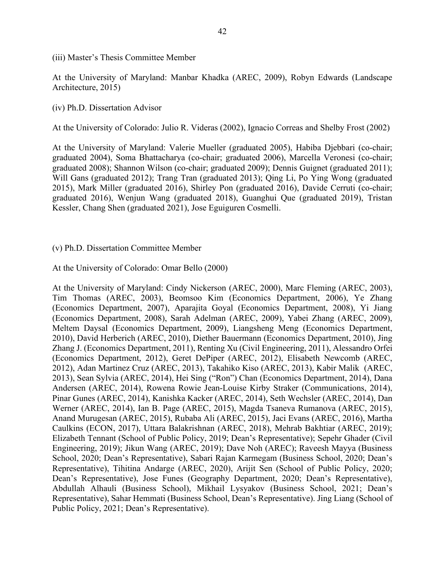(iii) Master's Thesis Committee Member

At the University of Maryland: Manbar Khadka (AREC, 2009), Robyn Edwards (Landscape Architecture, 2015)

(iv) Ph.D. Dissertation Advisor

At the University of Colorado: Julio R. Videras (2002), Ignacio Correas and Shelby Frost (2002)

At the University of Maryland: Valerie Mueller (graduated 2005), Habiba Djebbari (co-chair; graduated 2004), Soma Bhattacharya (co-chair; graduated 2006), Marcella Veronesi (co-chair; graduated 2008); Shannon Wilson (co-chair; graduated 2009); Dennis Guignet (graduated 2011); Will Gans (graduated 2012); Trang Tran (graduated 2013); Qing Li, Po Ying Wong (graduated 2015), Mark Miller (graduated 2016), Shirley Pon (graduated 2016), Davide Cerruti (co-chair; graduated 2016), Wenjun Wang (graduated 2018), Guanghui Que (graduated 2019), Tristan Kessler, Chang Shen (graduated 2021), Jose Eguiguren Cosmelli.

#### (v) Ph.D. Dissertation Committee Member

At the University of Colorado: Omar Bello (2000)

At the University of Maryland: Cindy Nickerson (AREC, 2000), Marc Fleming (AREC, 2003), Tim Thomas (AREC, 2003), Beomsoo Kim (Economics Department, 2006), Ye Zhang (Economics Department, 2007), Aparajita Goyal (Economics Department, 2008), Yi Jiang (Economics Department, 2008), Sarah Adelman (AREC, 2009), Yabei Zhang (AREC, 2009), Meltem Daysal (Economics Department, 2009), Liangsheng Meng (Economics Department, 2010), David Herberich (AREC, 2010), Diether Bauermann (Economics Department, 2010), Jing Zhang J. (Economics Department, 2011), Renting Xu (Civil Engineering, 2011), Alessandro Orfei (Economics Department, 2012), Geret DePiper (AREC, 2012), Elisabeth Newcomb (AREC, 2012), Adan Martinez Cruz (AREC, 2013), Takahiko Kiso (AREC, 2013), Kabir Malik (AREC, 2013), Sean Sylvia (AREC, 2014), Hei Sing ("Ron") Chan (Economics Department, 2014), Dana Andersen (AREC, 2014), Rowena Rowie Jean-Louise Kirby Straker (Communications, 2014), Pinar Gunes (AREC, 2014), Kanishka Kacker (AREC, 2014), Seth Wechsler (AREC, 2014), Dan Werner (AREC, 2014), Ian B. Page (AREC, 2015), Magda Tsaneva Rumanova (AREC, 2015), Anand Murugesan (AREC, 2015), Rubaba Ali (AREC, 2015), Jaci Evans (AREC, 2016), Martha Caulkins (ECON, 2017), Uttara Balakrishnan (AREC, 2018), Mehrab Bakhtiar (AREC, 2019); Elizabeth Tennant (School of Public Policy, 2019; Dean's Representative); Sepehr Ghader (Civil Engineering, 2019); Jikun Wang (AREC, 2019); Dave Noh (AREC); Raveesh Mayya (Business School, 2020; Dean's Representative), Sabari Rajan Karmegam (Business School, 2020; Dean's Representative), Tihitina Andarge (AREC, 2020), Arijit Sen (School of Public Policy, 2020; Dean's Representative), Jose Funes (Geography Department, 2020; Dean's Representative), Abdullah Alhauli (Business School), Mikhail Lysyakov (Business School, 2021; Dean's Representative), Sahar Hemmati (Business School, Dean's Representative). Jing Liang (School of Public Policy, 2021; Dean's Representative).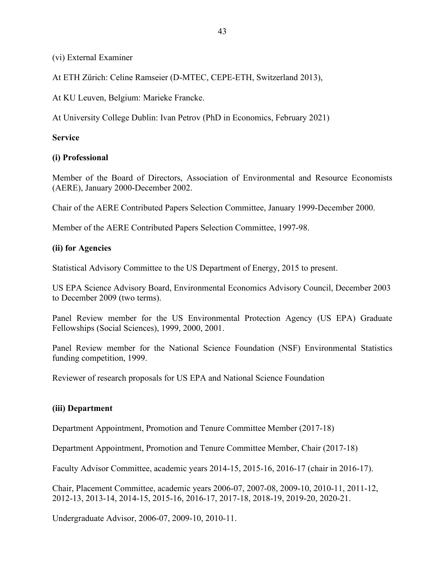(vi) External Examiner

At ETH Zürich: Celine Ramseier (D-MTEC, CEPE-ETH, Switzerland 2013),

At KU Leuven, Belgium: Marieke Francke.

At University College Dublin: Ivan Petrov (PhD in Economics, February 2021)

## **Service**

## **(i) Professional**

Member of the Board of Directors, Association of Environmental and Resource Economists (AERE), January 2000-December 2002.

Chair of the AERE Contributed Papers Selection Committee, January 1999-December 2000.

Member of the AERE Contributed Papers Selection Committee, 1997-98.

# **(ii) for Agencies**

Statistical Advisory Committee to the US Department of Energy, 2015 to present.

US EPA Science Advisory Board, Environmental Economics Advisory Council, December 2003 to December 2009 (two terms).

Panel Review member for the US Environmental Protection Agency (US EPA) Graduate Fellowships (Social Sciences), 1999, 2000, 2001.

Panel Review member for the National Science Foundation (NSF) Environmental Statistics funding competition, 1999.

Reviewer of research proposals for US EPA and National Science Foundation

# **(iii) Department**

Department Appointment, Promotion and Tenure Committee Member (2017-18)

Department Appointment, Promotion and Tenure Committee Member, Chair (2017-18)

Faculty Advisor Committee, academic years 2014-15, 2015-16, 2016-17 (chair in 2016-17).

Chair, Placement Committee, academic years 2006-07, 2007-08, 2009-10, 2010-11, 2011-12, 2012-13, 2013-14, 2014-15, 2015-16, 2016-17, 2017-18, 2018-19, 2019-20, 2020-21.

Undergraduate Advisor, 2006-07, 2009-10, 2010-11.